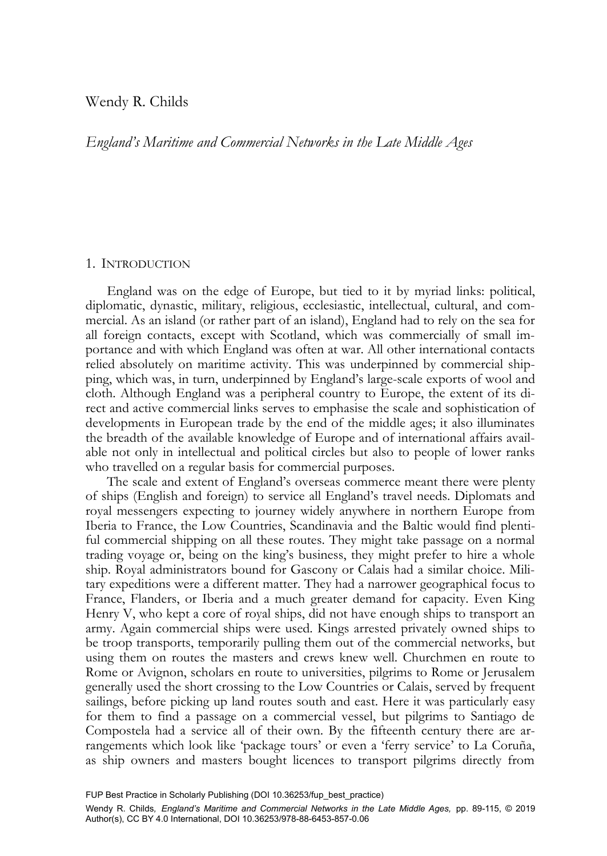# Wendy R. Childs

*England's Maritime and Commercial Networks in the Late Middle Ages* 

## 1. INTRODUCTION

England was on the edge of Europe, but tied to it by myriad links: political, diplomatic, dynastic, military, religious, ecclesiastic, intellectual, cultural, and commercial. As an island (or rather part of an island), England had to rely on the sea for all foreign contacts, except with Scotland, which was commercially of small importance and with which England was often at war. All other international contacts relied absolutely on maritime activity. This was underpinned by commercial shipping, which was, in turn, underpinned by England's large-scale exports of wool and cloth. Although England was a peripheral country to Europe, the extent of its direct and active commercial links serves to emphasise the scale and sophistication of developments in European trade by the end of the middle ages; it also illuminates the breadth of the available knowledge of Europe and of international affairs available not only in intellectual and political circles but also to people of lower ranks who travelled on a regular basis for commercial purposes.

The scale and extent of England's overseas commerce meant there were plenty of ships (English and foreign) to service all England's travel needs. Diplomats and royal messengers expecting to journey widely anywhere in northern Europe from Iberia to France, the Low Countries, Scandinavia and the Baltic would find plentiful commercial shipping on all these routes. They might take passage on a normal trading voyage or, being on the king's business, they might prefer to hire a whole ship. Royal administrators bound for Gascony or Calais had a similar choice. Military expeditions were a different matter. They had a narrower geographical focus to France, Flanders, or Iberia and a much greater demand for capacity. Even King Henry V, who kept a core of royal ships, did not have enough ships to transport an army. Again commercial ships were used. Kings arrested privately owned ships to be troop transports, temporarily pulling them out of the commercial networks, but using them on routes the masters and crews knew well. Churchmen en route to Rome or Avignon, scholars en route to universities, pilgrims to Rome or Jerusalem generally used the short crossing to the Low Countries or Calais, served by frequent sailings, before picking up land routes south and east. Here it was particularly easy for them to find a passage on a commercial vessel, but pilgrims to Santiago de Compostela had a service all of their own. By the fifteenth century there are arrangements which look like 'package tours' or even a 'ferry service' to La Coruña, as ship owners and masters bought licences to transport pilgrims directly from

FUP Best Practice in Scholarly Publishing (DOI [10.36253/fup\\_best\\_practice\)](https://doi.org/10.36253/fup_best_practice)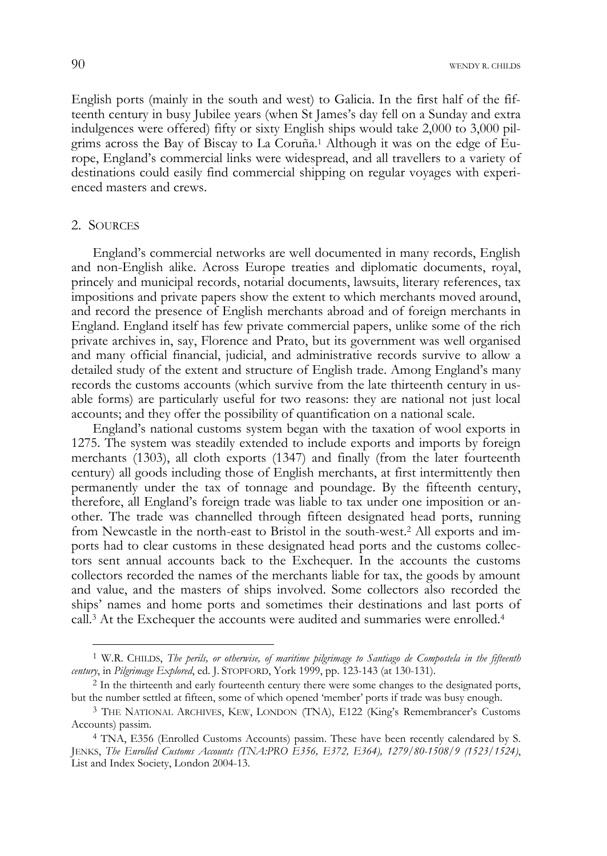90 WENDY R. CHILDS

English ports (mainly in the south and west) to Galicia. In the first half of the fifteenth century in busy Jubilee years (when St James's day fell on a Sunday and extra indulgences were offered) fifty or sixty English ships would take 2,000 to 3,000 pilgrims across the Bay of Biscay to La Coruña.1 Although it was on the edge of Europe, England's commercial links were widespread, and all travellers to a variety of destinations could easily find commercial shipping on regular voyages with experienced masters and crews.

## 2. SOURCES

-

England's commercial networks are well documented in many records, English and non-English alike. Across Europe treaties and diplomatic documents, royal, princely and municipal records, notarial documents, lawsuits, literary references, tax impositions and private papers show the extent to which merchants moved around, and record the presence of English merchants abroad and of foreign merchants in England. England itself has few private commercial papers, unlike some of the rich private archives in, say, Florence and Prato, but its government was well organised and many official financial, judicial, and administrative records survive to allow a detailed study of the extent and structure of English trade. Among England's many records the customs accounts (which survive from the late thirteenth century in usable forms) are particularly useful for two reasons: they are national not just local accounts; and they offer the possibility of quantification on a national scale.

England's national customs system began with the taxation of wool exports in 1275. The system was steadily extended to include exports and imports by foreign merchants (1303), all cloth exports (1347) and finally (from the later fourteenth century) all goods including those of English merchants, at first intermittently then permanently under the tax of tonnage and poundage. By the fifteenth century, therefore, all England's foreign trade was liable to tax under one imposition or another. The trade was channelled through fifteen designated head ports, running from Newcastle in the north-east to Bristol in the south-west.2 All exports and imports had to clear customs in these designated head ports and the customs collectors sent annual accounts back to the Exchequer. In the accounts the customs collectors recorded the names of the merchants liable for tax, the goods by amount and value, and the masters of ships involved. Some collectors also recorded the ships' names and home ports and sometimes their destinations and last ports of call.<sup>3</sup> At the Exchequer the accounts were audited and summaries were enrolled.<sup>4</sup>

<sup>1</sup> W.R. CHILDS, *The perils, or otherwise, of maritime pilgrimage to Santiago de Compostela in the fifteenth* 

<sup>&</sup>lt;sup>2</sup> In the thirteenth and early fourteenth century there were some changes to the designated ports, but the number settled at fifteen, some of which opened 'member' ports if trade was busy enough.

<sup>3</sup> THE NATIONAL ARCHIVES, KEW, LONDON (TNA), E122 (King's Remembrancer's Customs Accounts) passim.

<sup>4</sup> TNA, E356 (Enrolled Customs Accounts) passim. These have been recently calendared by S. JENKS, *The Enrolled Customs Accounts (TNA:PRO E356, E372, E364), 1279/80-1508/9 (1523/1524)*, List and Index Society, London 2004-13.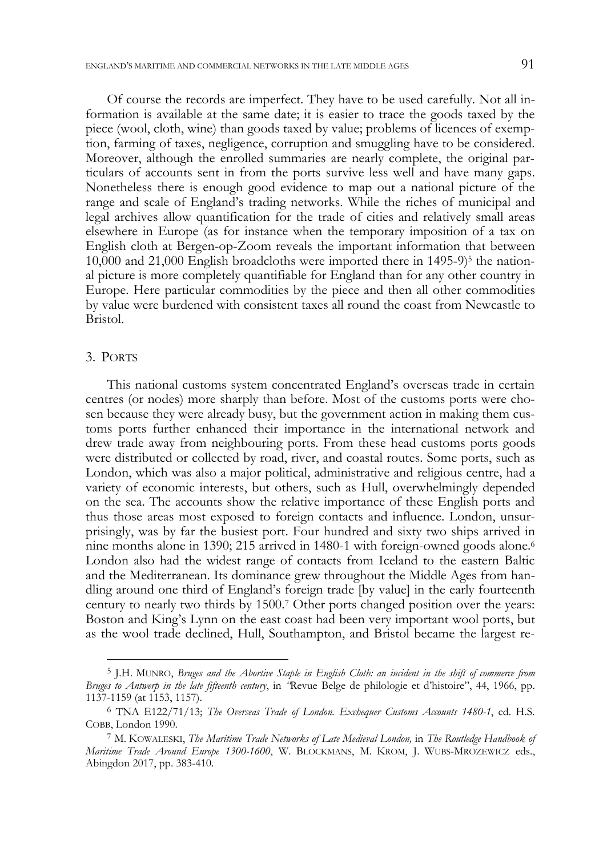Of course the records are imperfect. They have to be used carefully. Not all information is available at the same date; it is easier to trace the goods taxed by the piece (wool, cloth, wine) than goods taxed by value; problems of licences of exemption, farming of taxes, negligence, corruption and smuggling have to be considered. Moreover, although the enrolled summaries are nearly complete, the original particulars of accounts sent in from the ports survive less well and have many gaps. Nonetheless there is enough good evidence to map out a national picture of the range and scale of England's trading networks. While the riches of municipal and legal archives allow quantification for the trade of cities and relatively small areas elsewhere in Europe (as for instance when the temporary imposition of a tax on English cloth at Bergen-op-Zoom reveals the important information that between  $10,000$  and  $21,000$  English broadcloths were imported there in  $1495-9$ <sup>5</sup> the national picture is more completely quantifiable for England than for any other country in Europe. Here particular commodities by the piece and then all other commodities by value were burdened with consistent taxes all round the coast from Newcastle to Bristol.

### 3. PORTS

j

This national customs system concentrated England's overseas trade in certain centres (or nodes) more sharply than before. Most of the customs ports were chosen because they were already busy, but the government action in making them customs ports further enhanced their importance in the international network and drew trade away from neighbouring ports. From these head customs ports goods were distributed or collected by road, river, and coastal routes. Some ports, such as London, which was also a major political, administrative and religious centre, had a variety of economic interests, but others, such as Hull, overwhelmingly depended on the sea. The accounts show the relative importance of these English ports and thus those areas most exposed to foreign contacts and influence. London, unsurprisingly, was by far the busiest port. Four hundred and sixty two ships arrived in nine months alone in 1390; 215 arrived in 1480-1 with foreign-owned goods alone.<sup>6</sup> London also had the widest range of contacts from Iceland to the eastern Baltic and the Mediterranean. Its dominance grew throughout the Middle Ages from handling around one third of England's foreign trade [by value] in the early fourteenth century to nearly two thirds by 1500.7 Other ports changed position over the years: Boston and King's Lynn on the east coast had been very important wool ports, but as the wool trade declined, Hull, Southampton, and Bristol became the largest re-

<sup>5</sup> J.H. MUNRO, *Bruges and the Abortive Staple in English Cloth: an incident in the shift of commerce from Bruges to Antwerp in the late fifteenth century*, in *"*Revue Belge de philologie et d'histoire", 44, 1966, pp. 1137-1159 (at 1153, 1157).

<sup>6</sup> TNA E122/71/13; *The Overseas Trade of London. Exchequer Customs Accounts 1480-1*, ed. H.S. COBB, London 1990.

<sup>7</sup> M. KOWALESKI, *The Maritime Trade Networks of Late Medieval London,* in *The Routledge Handbook of Maritime Trade Around Europe 1300-1600*, W. BLOCKMANS, M. KROM, J. WUBS-MROZEWICZ eds., Abingdon 2017, pp. 383-410.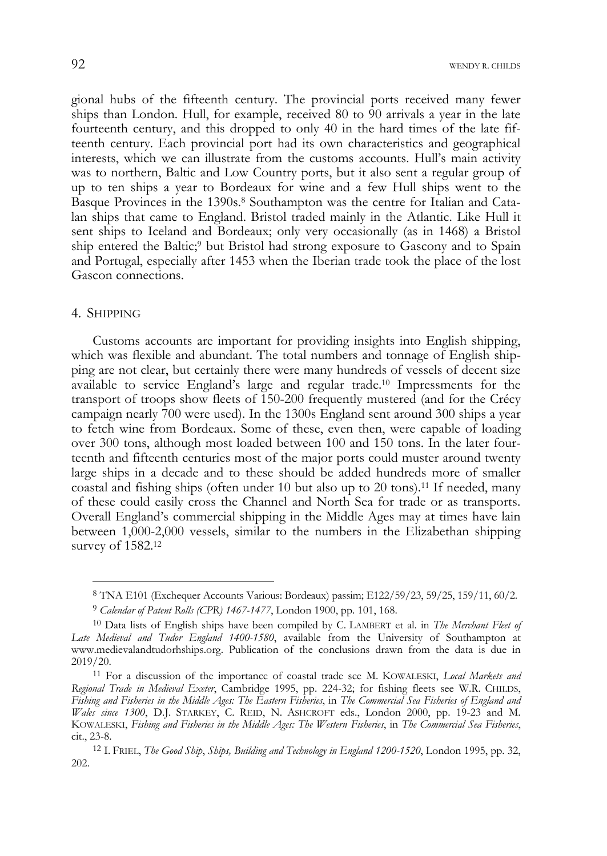gional hubs of the fifteenth century. The provincial ports received many fewer ships than London. Hull, for example, received 80 to 90 arrivals a year in the late fourteenth century, and this dropped to only 40 in the hard times of the late fifteenth century. Each provincial port had its own characteristics and geographical interests, which we can illustrate from the customs accounts. Hull's main activity was to northern, Baltic and Low Country ports, but it also sent a regular group of up to ten ships a year to Bordeaux for wine and a few Hull ships went to the Basque Provinces in the 1390s.8 Southampton was the centre for Italian and Catalan ships that came to England. Bristol traded mainly in the Atlantic. Like Hull it sent ships to Iceland and Bordeaux; only very occasionally (as in 1468) a Bristol ship entered the Baltic;<sup>9</sup> but Bristol had strong exposure to Gascony and to Spain and Portugal, especially after 1453 when the Iberian trade took the place of the lost Gascon connections.

### 4. SHIPPING

-

Customs accounts are important for providing insights into English shipping, which was flexible and abundant. The total numbers and tonnage of English shipping are not clear, but certainly there were many hundreds of vessels of decent size available to service England's large and regular trade.10 Impressments for the transport of troops show fleets of 150-200 frequently mustered (and for the Crécy campaign nearly 700 were used). In the 1300s England sent around 300 ships a year to fetch wine from Bordeaux. Some of these, even then, were capable of loading over 300 tons, although most loaded between 100 and 150 tons. In the later fourteenth and fifteenth centuries most of the major ports could muster around twenty large ships in a decade and to these should be added hundreds more of smaller coastal and fishing ships (often under 10 but also up to 20 tons).11 If needed, many of these could easily cross the Channel and North Sea for trade or as transports. Overall England's commercial shipping in the Middle Ages may at times have lain between 1,000-2,000 vessels, similar to the numbers in the Elizabethan shipping survey of 1582.12

<sup>8</sup> TNA E101 (Exchequer Accounts Various: Bordeaux) passim; E122/59/23, 59/25, 159/11, 60/2.

<sup>9</sup> *Calendar of Patent Rolls (CPR) 1467-1477*, London 1900, pp. 101, 168.

<sup>10</sup> Data lists of English ships have been compiled by C. LAMBERT et al. in *The Merchant Fleet of Late Medieval and Tudor England 1400-1580*, available from the University of Southampton at www.medievalandtudorhships.org. Publication of the conclusions drawn from the data is due in

<sup>&</sup>lt;sup>11</sup> For a discussion of the importance of coastal trade see M. KOWALESKI, *Local Markets and Regional Trade in Medieval Exeter*, Cambridge 1995, pp. 224-32; for fishing fleets see W.R. CHILDS, *Fishing and Fisheries in the Middle Ages: The Eastern Fisheries*, in *The Commercial Sea Fisheries of England and Wales since 1300*, D.J. STARKEY, C. REID, N. ASHCROFT eds., London 2000, pp. 19-23 and M. KOWALESKI, *Fishing and Fisheries in the Middle Ages: The Western Fisheries*, in *The Commercial Sea Fisheries*, cit., 23-8. 12 I. FRIEL, *The Good Ship*, *Ships, Building and Technology in England 1200-1520*, London 1995, pp. 32,

<sup>202.</sup>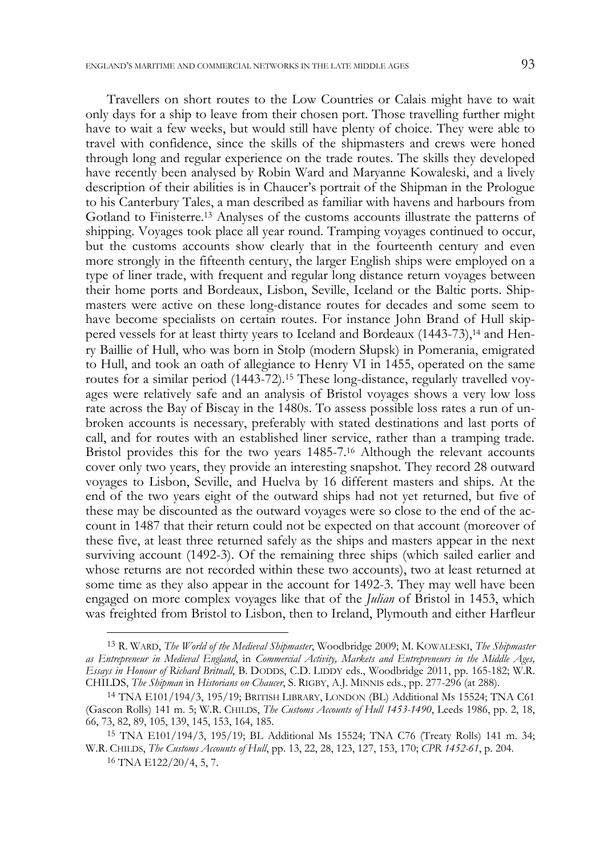Travellers on short routes to the Low Countries or Calais might have to wait only days for a ship to leave from their chosen port. Those travelling further might have to wait a few weeks, but would still have plenty of choice. They were able to travel with confidence, since the skills of the shipmasters and crews were honed through long and regular experience on the trade routes. The skills they developed have recently been analysed by Robin Ward and Maryanne Kowaleski, and a lively description of their abilities is in Chaucer's portrait of the Shipman in the Prologue to his Canterbury Tales, a man described as familiar with havens and harbours from Gotland to Finisterre.13 Analyses of the customs accounts illustrate the patterns of shipping. Voyages took place all year round. Tramping voyages continued to occur, but the customs accounts show clearly that in the fourteenth century and even more strongly in the fifteenth century, the larger English ships were employed on a type of liner trade, with frequent and regular long distance return voyages between their home ports and Bordeaux, Lisbon, Seville, Iceland or the Baltic ports. Shipmasters were active on these long-distance routes for decades and some seem to have become specialists on certain routes. For instance John Brand of Hull skippered vessels for at least thirty years to Iceland and Bordeaux (1443-73),14 and Henry Baillie of Hull, who was born in Stolp (modern Słupsk) in Pomerania, emigrated to Hull, and took an oath of allegiance to Henry VI in 1455, operated on the same routes for a similar period (1443-72).15 These long-distance, regularly travelled voyages were relatively safe and an analysis of Bristol voyages shows a very low loss rate across the Bay of Biscay in the 1480s. To assess possible loss rates a run of unbroken accounts is necessary, preferably with stated destinations and last ports of call, and for routes with an established liner service, rather than a tramping trade. Bristol provides this for the two years 1485-7.16 Although the relevant accounts cover only two years, they provide an interesting snapshot. They record 28 outward voyages to Lisbon, Seville, and Huelva by 16 different masters and ships. At the end of the two years eight of the outward ships had not yet returned, but five of these may be discounted as the outward voyages were so close to the end of the account in 1487 that their return could not be expected on that account (moreover of these five, at least three returned safely as the ships and masters appear in the next surviving account (1492-3). Of the remaining three ships (which sailed earlier and whose returns are not recorded within these two accounts), two at least returned at some time as they also appear in the account for 1492-3. They may well have been engaged on more complex voyages like that of the *Julian* of Bristol in 1453, which was freighted from Bristol to Lisbon, then to Ireland, Plymouth and either Harfleur

j

<sup>13</sup> R. WARD, *The World of the Medieval Shipmaster*, Woodbridge 2009; M. KOWALESKI, *The Shipmaster as Entrepreneur in Medieval England*, in *Commercial Activity, Markets and Entrepreneurs in the Middle Ages, Essays in Honour of Richard Britnall*, B. DODDS, C.D. LIDDY eds., Woodbridge 2011, pp. 165-182; W.R. CHILDS, *The Shipman* in *Historians on Chaucer*, S. RIGBY, A.J. MINNIS eds., pp. 277-296 (at 288).

<sup>14</sup> TNA E101/194/3, 195/19; BRITISH LIBRARY, LONDON (BL) Additional Ms 15524; TNA C61 (Gascon Rolls) 141 m. 5; W.R. CHILDS, *The Customs Accounts of Hull 1453-1490*, Leeds 1986, pp. 2, 18, 66, 73, 82, 89, 105, 139, 145, 153, 164, 185.

<sup>15</sup> TNA E101/194/3, 195/19; BL Additional Ms 15524; TNA C76 (Treaty Rolls) 141 m. 34; W.R. CHILDS, *The Customs Accounts of Hull*, pp. 13, 22, 28, 123, 127, 153, 170; *CPR 1452-61*, p. 204.

 $16$  TNA E122/20/4, 5, 7.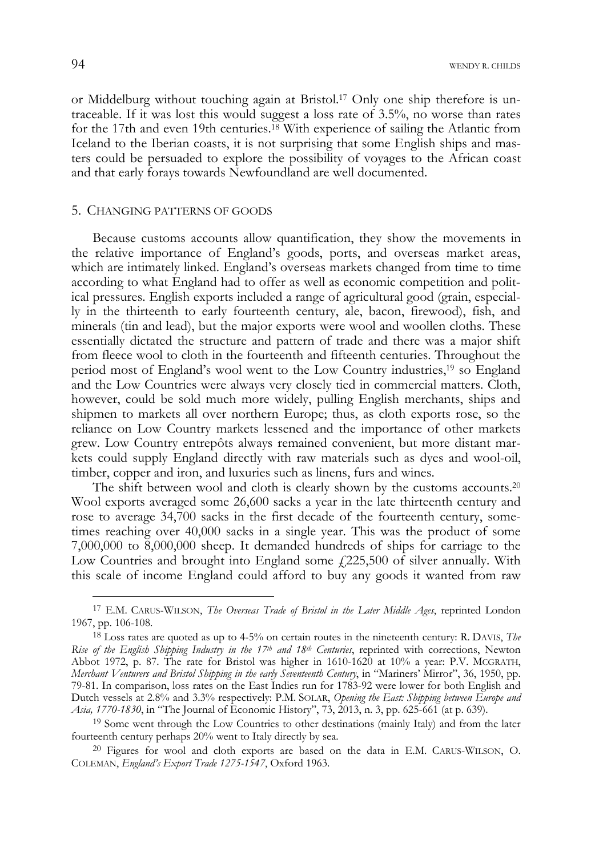or Middelburg without touching again at Bristol.17 Only one ship therefore is untraceable. If it was lost this would suggest a loss rate of 3.5%, no worse than rates for the 17th and even 19th centuries.18 With experience of sailing the Atlantic from Iceland to the Iberian coasts, it is not surprising that some English ships and masters could be persuaded to explore the possibility of voyages to the African coast and that early forays towards Newfoundland are well documented.

# 5. CHANGING PATTERNS OF GOODS

Because customs accounts allow quantification, they show the movements in the relative importance of England's goods, ports, and overseas market areas, which are intimately linked. England's overseas markets changed from time to time according to what England had to offer as well as economic competition and political pressures. English exports included a range of agricultural good (grain, especially in the thirteenth to early fourteenth century, ale, bacon, firewood), fish, and minerals (tin and lead), but the major exports were wool and woollen cloths. These essentially dictated the structure and pattern of trade and there was a major shift from fleece wool to cloth in the fourteenth and fifteenth centuries. Throughout the period most of England's wool went to the Low Country industries,19 so England and the Low Countries were always very closely tied in commercial matters. Cloth, however, could be sold much more widely, pulling English merchants, ships and shipmen to markets all over northern Europe; thus, as cloth exports rose, so the reliance on Low Country markets lessened and the importance of other markets grew. Low Country entrepôts always remained convenient, but more distant markets could supply England directly with raw materials such as dyes and wool-oil, timber, copper and iron, and luxuries such as linens, furs and wines.

The shift between wool and cloth is clearly shown by the customs accounts.20 Wool exports averaged some 26,600 sacks a year in the late thirteenth century and rose to average 34,700 sacks in the first decade of the fourteenth century, sometimes reaching over 40,000 sacks in a single year. This was the product of some 7,000,000 to 8,000,000 sheep. It demanded hundreds of ships for carriage to the Low Countries and brought into England some  $f<sub>1</sub>225,500$  of silver annually. With this scale of income England could afford to buy any goods it wanted from raw

<sup>17</sup> E.M. CARUS-WILSON, *The Overseas Trade of Bristol in the Later Middle Ages*, reprinted London 1967, pp. 106-108.

<sup>18</sup> Loss rates are quoted as up to 4-5% on certain routes in the nineteenth century: R. DAVIS, *The Rise of the English Shipping Industry in the 17th and 18th Centuries*, reprinted with corrections, Newton Abbot 1972, p. 87. The rate for Bristol was higher in 1610-1620 at 10% a year: P.V. MCGRATH, *Merchant Venturers and Bristol Shipping in the early Seventeenth Century*, in "Mariners' Mirror", 36, 1950, pp. 79-81. In comparison, loss rates on the East Indies run for 1783-92 were lower for both English and Dutch vessels at 2.8% and 3.3% respectively: P.M. SOLAR, *Opening the East: Shipping between Europe and Asia, 1770-1830*, in "The Journal of Economic History", 73, 2013, n. 3, pp. 625-661 (at p. 639).

<sup>&</sup>lt;sup>19</sup> Some went through the Low Countries to other destinations (mainly Italy) and from the later fourteenth century perhaps 20% went to Italy directly by sea.

<sup>20</sup> Figures for wool and cloth exports are based on the data in E.M. CARUS-WILSON, O. COLEMAN, *England's Export Trade 1275-1547*, Oxford 1963.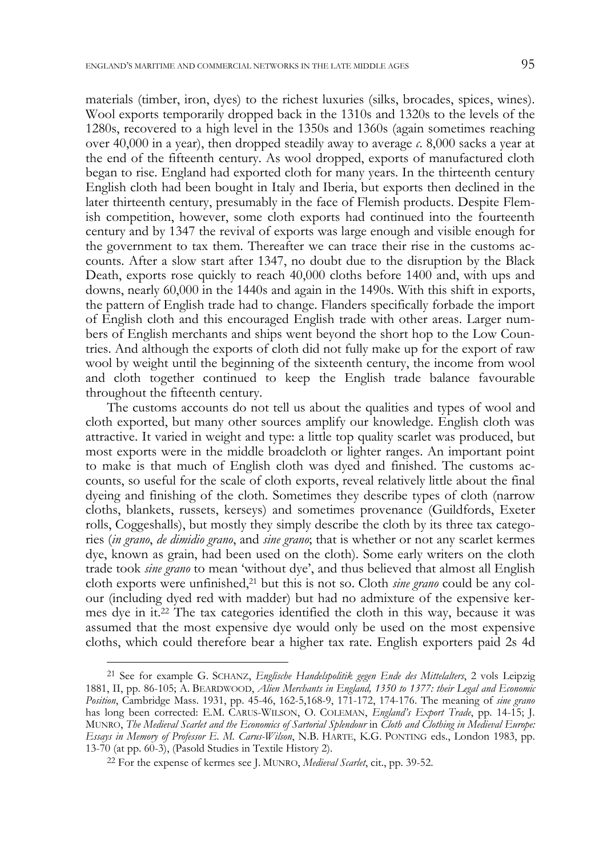materials (timber, iron, dyes) to the richest luxuries (silks, brocades, spices, wines). Wool exports temporarily dropped back in the 1310s and 1320s to the levels of the 1280s, recovered to a high level in the 1350s and 1360s (again sometimes reaching over 40,000 in a year), then dropped steadily away to average *c*. 8,000 sacks a year at the end of the fifteenth century. As wool dropped, exports of manufactured cloth began to rise. England had exported cloth for many years. In the thirteenth century English cloth had been bought in Italy and Iberia, but exports then declined in the later thirteenth century, presumably in the face of Flemish products. Despite Flemish competition, however, some cloth exports had continued into the fourteenth century and by 1347 the revival of exports was large enough and visible enough for the government to tax them. Thereafter we can trace their rise in the customs accounts. After a slow start after 1347, no doubt due to the disruption by the Black Death, exports rose quickly to reach 40,000 cloths before 1400 and, with ups and downs, nearly 60,000 in the 1440s and again in the 1490s. With this shift in exports, the pattern of English trade had to change. Flanders specifically forbade the import of English cloth and this encouraged English trade with other areas. Larger numbers of English merchants and ships went beyond the short hop to the Low Countries. And although the exports of cloth did not fully make up for the export of raw wool by weight until the beginning of the sixteenth century, the income from wool and cloth together continued to keep the English trade balance favourable throughout the fifteenth century.

The customs accounts do not tell us about the qualities and types of wool and cloth exported, but many other sources amplify our knowledge. English cloth was attractive. It varied in weight and type: a little top quality scarlet was produced, but most exports were in the middle broadcloth or lighter ranges. An important point to make is that much of English cloth was dyed and finished. The customs accounts, so useful for the scale of cloth exports, reveal relatively little about the final dyeing and finishing of the cloth. Sometimes they describe types of cloth (narrow cloths, blankets, russets, kerseys) and sometimes provenance (Guildfords, Exeter rolls, Coggeshalls), but mostly they simply describe the cloth by its three tax categories (*in grano*, *de dimidio grano*, and *sine grano*; that is whether or not any scarlet kermes dye, known as grain, had been used on the cloth). Some early writers on the cloth trade took *sine grano* to mean 'without dye', and thus believed that almost all English cloth exports were unfinished,<sup>21</sup> but this is not so. Cloth *sine grano* could be any colour (including dyed red with madder) but had no admixture of the expensive kermes dye in it.22 The tax categories identified the cloth in this way, because it was assumed that the most expensive dye would only be used on the most expensive cloths, which could therefore bear a higher tax rate. English exporters paid 2s 4d

j

<sup>21</sup> See for example G. SCHANZ, *Englische Handelspolitik gegen Ende des Mittelalters*, 2 vols Leipzig 1881, II, pp. 86-105; A. BEARDWOOD, *Alien Merchants in England, 1350 to 1377: their Legal and Economic Position*, Cambridge Mass. 1931, pp. 45-46, 162-5,168-9, 171-172, 174-176. The meaning of *sine grano* has long been corrected: E.M. CARUS-WILSON, O. COLEMAN, *England's Export Trade*, pp. 14-15; J. MUNRO, *The Medieval Scarlet and the Economics of Sartorial Splendour* in *Cloth and Clothing in Medieval Europe: Essays in Memory of Professor E. M. Carus-Wilson*, N.B. HARTE, K.G. PONTING eds., London 1983, pp.

<sup>&</sup>lt;sup>22</sup> For the expense of kermes see J. MUNRO, *Medieval Scarlet*, cit., pp. 39-52.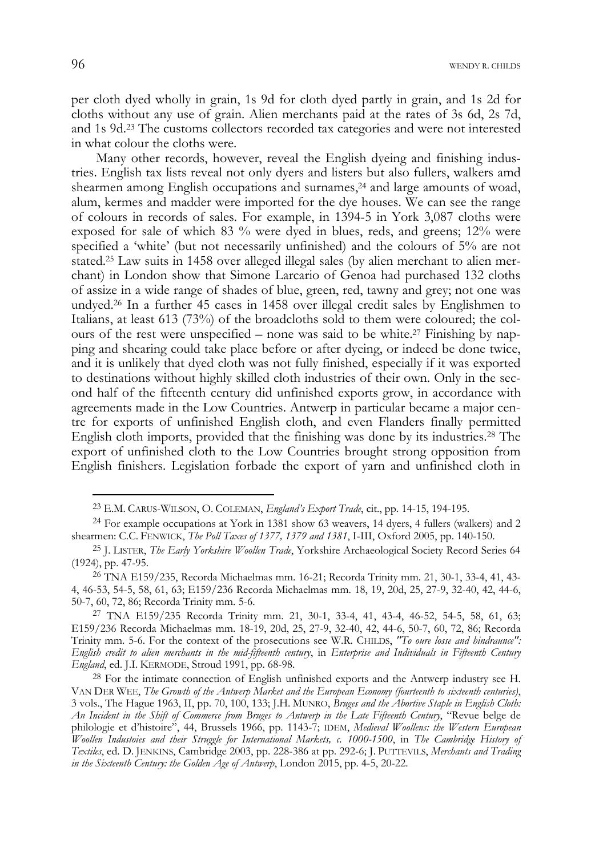per cloth dyed wholly in grain, 1s 9d for cloth dyed partly in grain, and 1s 2d for cloths without any use of grain. Alien merchants paid at the rates of 3s 6d, 2s 7d, and 1s 9d.23 The customs collectors recorded tax categories and were not interested in what colour the cloths were.

 Many other records, however, reveal the English dyeing and finishing industries. English tax lists reveal not only dyers and listers but also fullers, walkers amd shearmen among English occupations and surnames,<sup>24</sup> and large amounts of woad, alum, kermes and madder were imported for the dye houses. We can see the range of colours in records of sales. For example, in 1394-5 in York 3,087 cloths were exposed for sale of which 83 % were dyed in blues, reds, and greens; 12% were specified a 'white' (but not necessarily unfinished) and the colours of 5% are not stated.25 Law suits in 1458 over alleged illegal sales (by alien merchant to alien merchant) in London show that Simone Larcario of Genoa had purchased 132 cloths of assize in a wide range of shades of blue, green, red, tawny and grey; not one was undyed.26 In a further 45 cases in 1458 over illegal credit sales by Englishmen to Italians, at least 613 (73%) of the broadcloths sold to them were coloured; the colours of the rest were unspecified – none was said to be white.<sup>27</sup> Finishing by napping and shearing could take place before or after dyeing, or indeed be done twice, and it is unlikely that dyed cloth was not fully finished, especially if it was exported to destinations without highly skilled cloth industries of their own. Only in the second half of the fifteenth century did unfinished exports grow, in accordance with agreements made in the Low Countries. Antwerp in particular became a major centre for exports of unfinished English cloth, and even Flanders finally permitted English cloth imports, provided that the finishing was done by its industries.28 The export of unfinished cloth to the Low Countries brought strong opposition from English finishers. Legislation forbade the export of yarn and unfinished cloth in

<sup>23</sup> E.M. CARUS-WILSON, O. COLEMAN, *England's Export Trade*, cit., pp. 14-15, 194-195.

<sup>24</sup> For example occupations at York in 1381 show 63 weavers, 14 dyers, 4 fullers (walkers) and 2 shearmen: C.C. FENWICK, *The Poll Taxes of 1377, 1379 and 1381*, I-III, Oxford 2005, pp. 140-150.

<sup>25</sup> J. LISTER, *The Early Yorkshire Woollen Trade*, Yorkshire Archaeological Society Record Series 64 (1924), pp. 47-95.

<sup>26</sup> TNA E159/235, Recorda Michaelmas mm. 16-21; Recorda Trinity mm. 21, 30-1, 33-4, 41, 43- 4, 46-53, 54-5, 58, 61, 63; E159/236 Recorda Michaelmas mm. 18, 19, 20d, 25, 27-9, 32-40, 42, 44-6, 50-7, 60, 72, 86; Recorda Trinity mm. 5-6.

<sup>27</sup> TNA E159/235 Recorda Trinity mm. 21, 30-1, 33-4, 41, 43-4, 46-52, 54-5, 58, 61, 63; E159/236 Recorda Michaelmas mm. 18-19, 20d, 25, 27-9, 32-40, 42, 44-6, 50-7, 60, 72, 86; Recorda Trinity mm. 5-6. For the context of the prosecutions see W.R. CHILDS, *"To oure losse and hindraunce": English credit to alien merchants in the mid-fifteenth century*, in *Enterprise and Individuals in Fifteenth Century England*, ed. J.I. KERMODE, Stroud 1991, pp. 68-98.

<sup>&</sup>lt;sup>28</sup> For the intimate connection of English unfinished exports and the Antwerp industry see H. VAN DER WEE, *The Growth of the Antwerp Market and the European Economy (fourteenth to sixteenth centuries)*, 3 vols., The Hague 1963, II, pp. 70, 100, 133; J.H. MUNRO, *Bruges and the Abortive Staple in English Cloth: An Incident in the Shift of Commerce from Bruges to Antwerp in the Late Fifteenth Century*, "Revue belge de philologie et d'histoire", 44, Brussels 1966, pp. 1143-7; IDEM, *Medieval Woollens: the Western European Woollen Industoies and their Struggle for International Markets, c. 1000-1500*, in *The Cambridge History of Textiles*, ed. D. JENKINS, Cambridge 2003, pp. 228-386 at pp. 292-6; J. PUTTEVILS, *Merchants and Trading in the Sixteenth Century: the Golden Age of Antwerp*, London 2015, pp. 4-5, 20-22.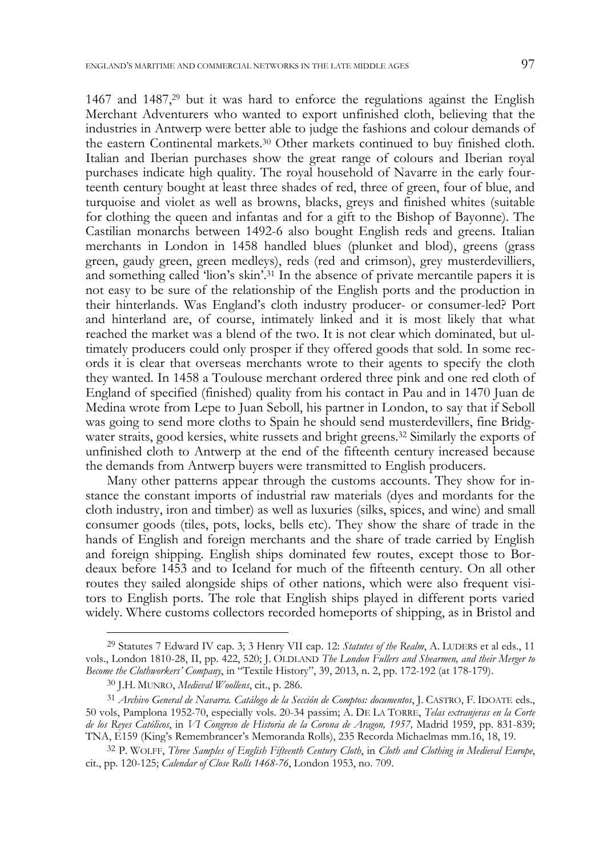1467 and 1487,29 but it was hard to enforce the regulations against the English Merchant Adventurers who wanted to export unfinished cloth, believing that the industries in Antwerp were better able to judge the fashions and colour demands of the eastern Continental markets.30 Other markets continued to buy finished cloth. Italian and Iberian purchases show the great range of colours and Iberian royal purchases indicate high quality. The royal household of Navarre in the early fourteenth century bought at least three shades of red, three of green, four of blue, and turquoise and violet as well as browns, blacks, greys and finished whites (suitable for clothing the queen and infantas and for a gift to the Bishop of Bayonne). The Castilian monarchs between 1492-6 also bought English reds and greens. Italian merchants in London in 1458 handled blues (plunket and blod), greens (grass green, gaudy green, green medleys), reds (red and crimson), grey musterdevilliers, and something called 'lion's skin'.31 In the absence of private mercantile papers it is not easy to be sure of the relationship of the English ports and the production in their hinterlands. Was England's cloth industry producer- or consumer-led? Port and hinterland are, of course, intimately linked and it is most likely that what reached the market was a blend of the two. It is not clear which dominated, but ultimately producers could only prosper if they offered goods that sold. In some records it is clear that overseas merchants wrote to their agents to specify the cloth they wanted. In 1458 a Toulouse merchant ordered three pink and one red cloth of England of specified (finished) quality from his contact in Pau and in 1470 Juan de Medina wrote from Lepe to Juan Seboll, his partner in London, to say that if Seboll was going to send more cloths to Spain he should send musterdevillers, fine Bridgwater straits, good kersies, white russets and bright greens.32 Similarly the exports of unfinished cloth to Antwerp at the end of the fifteenth century increased because the demands from Antwerp buyers were transmitted to English producers.

Many other patterns appear through the customs accounts. They show for instance the constant imports of industrial raw materials (dyes and mordants for the cloth industry, iron and timber) as well as luxuries (silks, spices, and wine) and small consumer goods (tiles, pots, locks, bells etc). They show the share of trade in the hands of English and foreign merchants and the share of trade carried by English and foreign shipping. English ships dominated few routes, except those to Bordeaux before 1453 and to Iceland for much of the fifteenth century. On all other routes they sailed alongside ships of other nations, which were also frequent visitors to English ports. The role that English ships played in different ports varied widely. Where customs collectors recorded homeports of shipping, as in Bristol and

j

<sup>29</sup> Statutes 7 Edward IV cap. 3; 3 Henry VII cap. 12: *Statutes of the Realm*, A. LUDERS et al eds., 11 vols., London 1810-28, II, pp. 422, 520; J. OLDLAND *The London Fullers and Shearmen, and their Merger to Become the Clothworkers' Company*, in "Textile History", 39, 2013, n. 2, pp. 172-192 (at 178-179).

<sup>30</sup> J.H. MUNRO, *Medieval Woollens*, cit., p. 286.

<sup>31</sup> *Archivo General de Navarra. Catálogo de la Sección de Comptos: documentos*, J. CASTRO, F. IDOATE eds., 50 vols, Pamplona 1952-70, especially vols. 20-34 passim; A. DE LA TORRE, *Telas extranjeras en la Corte de los Reyes Católicos*, in *VI Congreso de Historia de la Corona de Aragon, 1957,* Madrid 1959, pp. 831-839; TNA, E159 (King's Remembrancer's Memoranda Rolls), 235 Recorda Michaelmas mm.16, 18, 19.

<sup>32</sup> P. WOLFF, *Three Samples of English Fifteenth Century Cloth*, in *Cloth and Clothing in Medieval Europe*, cit., pp. 120-125; *Calendar of Close Rolls 1468-76*, London 1953, no. 709.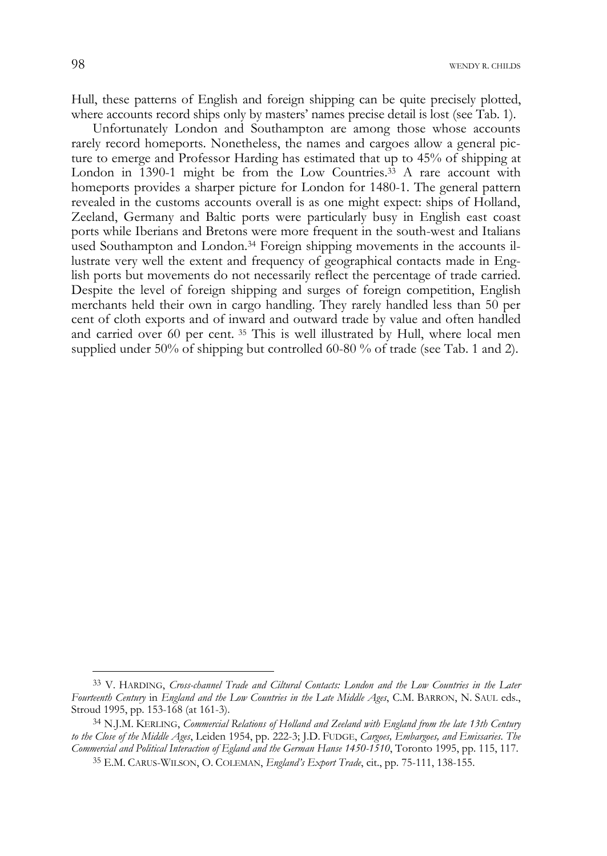Hull, these patterns of English and foreign shipping can be quite precisely plotted, where accounts record ships only by masters' names precise detail is lost (see Tab. 1).

Unfortunately London and Southampton are among those whose accounts rarely record homeports. Nonetheless, the names and cargoes allow a general picture to emerge and Professor Harding has estimated that up to 45% of shipping at London in 1390-1 might be from the Low Countries.<sup>33</sup> A rare account with homeports provides a sharper picture for London for 1480-1. The general pattern revealed in the customs accounts overall is as one might expect: ships of Holland, Zeeland, Germany and Baltic ports were particularly busy in English east coast ports while Iberians and Bretons were more frequent in the south-west and Italians used Southampton and London.<sup>34</sup> Foreign shipping movements in the accounts illustrate very well the extent and frequency of geographical contacts made in English ports but movements do not necessarily reflect the percentage of trade carried. Despite the level of foreign shipping and surges of foreign competition, English merchants held their own in cargo handling. They rarely handled less than 50 per cent of cloth exports and of inward and outward trade by value and often handled and carried over 60 per cent. 35 This is well illustrated by Hull, where local men supplied under 50% of shipping but controlled 60-80 % of trade (see Tab. 1 and 2).

<sup>33</sup> V. HARDING, *Cross-channel Trade and Ciltural Contacts: London and the Low Countries in the Later Fourteenth Century* in *England and the Low Countries in the Late Middle Ages*, C.M. BARRON, N. SAUL eds., Stroud 1995, pp. 153-168 (at 161-3).

<sup>34</sup> N.J.M. KERLING, *Commercial Relations of Holland and Zeeland with England from the late 13th Century to the Close of the Middle Ages*, Leiden 1954, pp. 222-3; J.D. FUDGE, *Cargoes, Embargoes, and Emissaries*. *The Commercial and Political Interaction of Egland and the German Hanse 1450-1510*, Toronto 1995, pp. 115, 117.

<sup>35</sup> E.M. CARUS-WILSON, O. COLEMAN, *England's Export Trade*, cit., pp. 75-111, 138-155.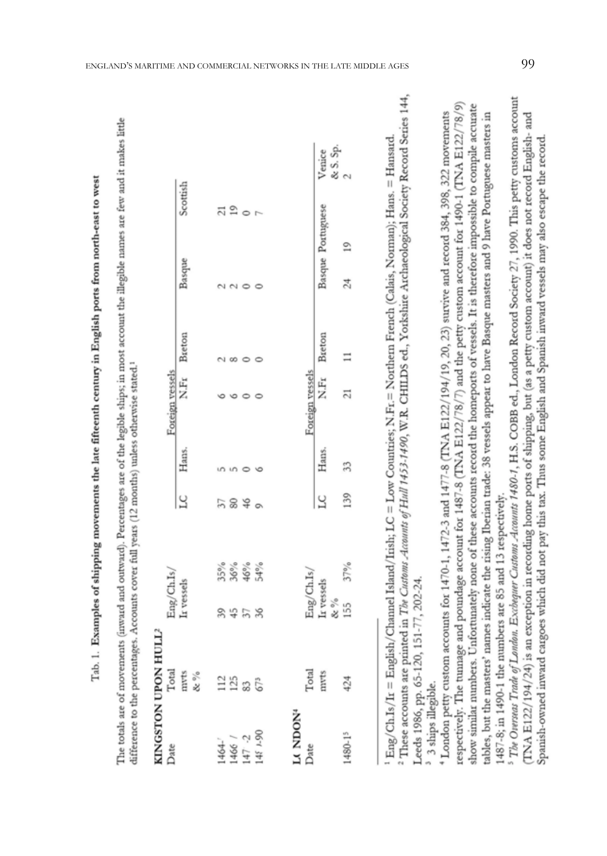Tab. 1. Examples of shipping movements the late fifteenth century in English ports from north-east to west

The totals are of movements (inward and outward). Percentages are of the legible ships; in most account the illegible names are few and it makes little difference to the percentages. Accounts cover full years (12 months) unless otherwise stated.<sup>1</sup>

# KINGSTON UPON HULL2

|                                                       | ${\rm Eng/GhIs}/$ ${\rm Tr}\, {\rm vessels}$                                                                       |                         | LC Hans. | Foreign vessels $\begin{array}{cl} \text{Here} \\ \text{N.Fr} \end{array} \begin{array}{cl} \text{Breton} \end{array}$ |                 |          | Basque            | Scottish |                                                               |
|-------------------------------------------------------|--------------------------------------------------------------------------------------------------------------------|-------------------------|----------|------------------------------------------------------------------------------------------------------------------------|-----------------|----------|-------------------|----------|---------------------------------------------------------------|
| $1464 - 1466$<br>$147 - 2$<br>$147 - 2$<br>$148 - 90$ | 8458                                                                                                               | $35%$<br>$36%$<br>$46%$ | 5840     |                                                                                                                        |                 |          |                   | 21       |                                                               |
|                                                       |                                                                                                                    |                         |          |                                                                                                                        |                 |          |                   |          |                                                               |
|                                                       |                                                                                                                    |                         |          |                                                                                                                        |                 |          |                   |          |                                                               |
| LA NDON <sup>4</sup><br>Date                          |                                                                                                                    |                         |          |                                                                                                                        |                 |          |                   |          |                                                               |
|                                                       |                                                                                                                    |                         |          |                                                                                                                        | Foreign vessels |          |                   |          |                                                               |
|                                                       | $\begin{array}{ll} \mathrm{Eng}/\mathrm{ChIs}/\\ \mathrm{It}\,\mathrm{vessels}\\ \&\, \%\\ 155 & 37\% \end{array}$ |                         | LC       | Hans.                                                                                                                  | $_{\rm N.Fr}$   | Breton   | Basque Portuguese |          | $\begin{array}{l} \text{Vence}\\ \&\text{S. Sp.} \end{array}$ |
| 1480-15                                               |                                                                                                                    |                         | 139      | 33                                                                                                                     |                 | $\equiv$ | 24 19             |          |                                                               |

These accounts are printed in The Customs Accounts of Hull 1453-1490, W.R. CHILDS ed., Yorkshire Archaeological Society Record Series 144,  $E_{\text{DR}}/(\text{ChIs}/\text{Ir} = \text{English/Channel Island/Itish}, \text{LC} = \text{Low Countries}; \text{N.Fr.} = \text{Notthen French (Calais, Nomani); Hans. = Hansad.}$ Leeds 1986, pp. 65-120, 151-77, 202-24.

3 ships illegible.

respectively. The tunnage and poundage account for 1487-8 (TNA E122/78/7) and the petty custom account for 1490-1 (TNA E122/78/9) show similar numbers. Unfortunately none of these accounts record the homeports of vessels. It is therefore impossible to compile accurate London petty custom accounts for  $1470-1$ ,  $1472-3$  and  $1477-8$  (TNA E122/194/19, 20, 23) survive and record 384, 398, 322 movements ables, but the masters' names indicate the rising Iberian trade: 38 vessels appear to have Basque masters and 9 have Portuguese masters in 1487-8; in 1490-1 the numbers are 85 and 13 respectively.

<sup>5</sup> The Owrseas Trade of London, Exchequer Customs -Accounts 1480-1, H.S. COBB ed., London Record Society 27, 1990. This petty customs account (TNA E122/194/24) is an exception in recording home ports of shipping, but (as a petty custom account) it does not record English- and Spanish-owned inward cargoes which did not pay this tax. Thus some English and Spanish inward vessels may also escape the record.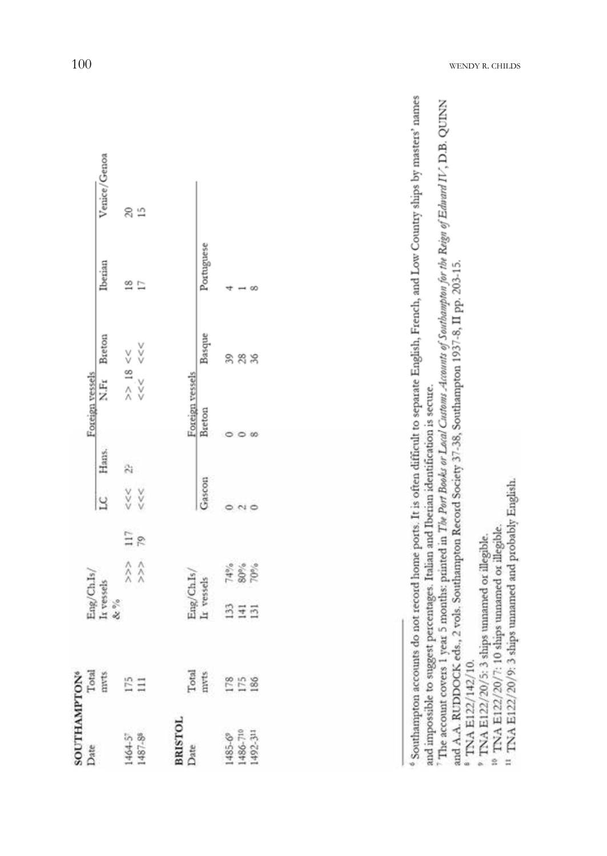| SOUTHAMPTON <sup>6</sup><br>Date Total<br>mrts |                                                                                                                                                                                                                                                                                                                                                                                                                                                                                                                                                |     | $\begin{array}{l} \rm{Eng}/Ch. Is/\\ \rm{It}\, \rm{vessels}\\ \&\,\% \end{array}$ |               | $\overline{\mathbf{r}}$                  | Hans.           | Foreign vessels<br>N.Fr   | Breton              | Iberian         | Venice/Genoa |
|------------------------------------------------|------------------------------------------------------------------------------------------------------------------------------------------------------------------------------------------------------------------------------------------------------------------------------------------------------------------------------------------------------------------------------------------------------------------------------------------------------------------------------------------------------------------------------------------------|-----|-----------------------------------------------------------------------------------|---------------|------------------------------------------|-----------------|---------------------------|---------------------|-----------------|--------------|
| 1464-5"<br>1487-88                             | I75                                                                                                                                                                                                                                                                                                                                                                                                                                                                                                                                            |     | $\begin{array}{c} \wedge \wedge \\ \wedge \wedge \end{array}$                     | $^{117}_{79}$ | $\begin{matrix} 258 \\ 268 \end{matrix}$ | $\ddot{\rm{2}}$ |                           | $>> 18 <<< <<< <<<$ | $\frac{18}{17}$ | 815          |
|                                                |                                                                                                                                                                                                                                                                                                                                                                                                                                                                                                                                                |     |                                                                                   |               |                                          |                 |                           |                     |                 |              |
| <b>BRISTOL</b>                                 |                                                                                                                                                                                                                                                                                                                                                                                                                                                                                                                                                |     |                                                                                   |               |                                          |                 |                           |                     |                 |              |
|                                                |                                                                                                                                                                                                                                                                                                                                                                                                                                                                                                                                                |     |                                                                                   |               |                                          |                 |                           |                     |                 |              |
|                                                | $\begin{tabular}{ll} \multicolumn{1}{l} \multicolumn{1}{c}{\text{Total}} \\ \multicolumn{1}{c}{\text{Total}} \\ \multicolumn{1}{c}{\text{Total}} \\ \multicolumn{1}{c}{\text{Total}} \\ \multicolumn{1}{c}{\text{Total}} \\ \multicolumn{1}{c}{\text{Total}} \\ \multicolumn{1}{c}{\text{Total}} \\ \multicolumn{1}{c}{\text{Total}} \\ \multicolumn{1}{c}{\text{Total}} \\ \multicolumn{1}{c}{\text{Total}} \\ \multicolumn{1}{c}{\text{Total}} \\ \multicolumn{1}{c}{\text{Total}} \\ \multicolumn{1}{c}{\text{Total}} \\ \multicolumn{1}{c$ |     | ${\rm Eng/GhIs}/ {\rm ChIs}/ {\rm Ir}$ vessels                                    |               | Gascon                                   |                 | Foreign vessels<br>Breton | Basque              | Portuguese      |              |
| $1485 - 69$<br>1486-710                        |                                                                                                                                                                                                                                                                                                                                                                                                                                                                                                                                                |     | $\frac{14\%}{50\%}$                                                               |               |                                          |                 |                           | 39                  |                 |              |
|                                                |                                                                                                                                                                                                                                                                                                                                                                                                                                                                                                                                                | 375 |                                                                                   |               |                                          |                 |                           | 28                  |                 |              |
| 1492-311                                       |                                                                                                                                                                                                                                                                                                                                                                                                                                                                                                                                                |     |                                                                                   |               |                                          |                 |                           |                     |                 |              |
|                                                |                                                                                                                                                                                                                                                                                                                                                                                                                                                                                                                                                |     |                                                                                   |               |                                          |                 |                           |                     |                 |              |

Southampton accounts do not record home ports. It is often difficult to separate English, French, and Low Country ships by masters' names and impossible to suggest percentages. Italian and Iberian identification is secure.

The account covers 1 year 5 months: printed in The Port Books or Local Customs Accounts of Southompton for the Reign of Edward IV, D.B. QUINN

and A.A. RUDDOCK eds., 2 vols. Southampton Record Society 37-38, Southampton 1937-8, II pp. 203-15.

<sup>&</sup>lt;sup>8</sup> TNA E122/142/10.

<sup>&</sup>lt;sup>9</sup> TNA E122/20/5: 3 ships unnamed or illegible.

<sup>&</sup>lt;sup>16</sup> TNA E122/20/7: 10 ships unnamed or illegible.

<sup>&</sup>lt;sup>11</sup> TNA E122/20/9: 3 ships unnamed and probably English.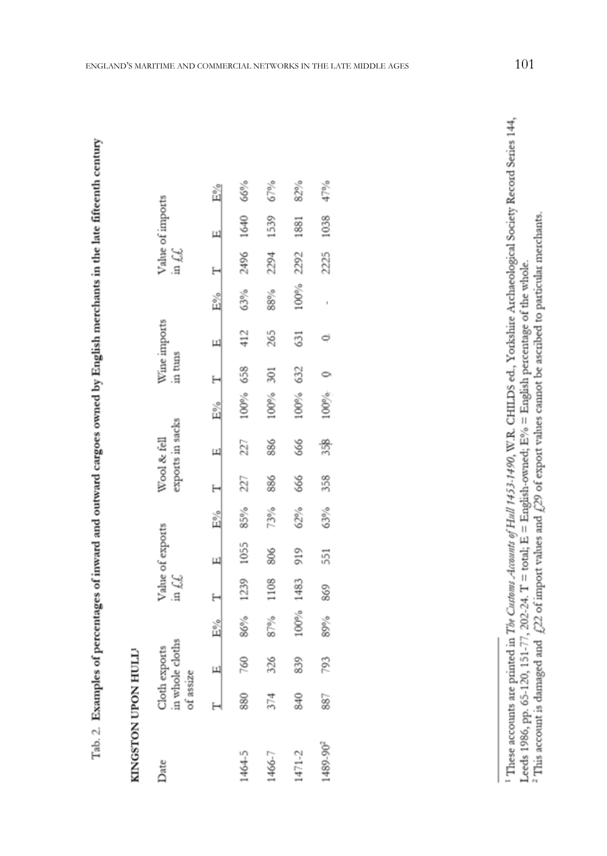# KINGSTON UPON HULL!

| Date                 | of assize | Cloth exports<br>in whole cloths |       | Value of exports in $f_*\mathcal{L}$ |                |        |     | Wool & fell<br>exports in sacks |          |     | Wine imports<br>in tuns |      |      | Value of imports in $\mathcal{L}\mathcal{L}$ |     |
|----------------------|-----------|----------------------------------|-------|--------------------------------------|----------------|--------|-----|---------------------------------|----------|-----|-------------------------|------|------|----------------------------------------------|-----|
|                      |           |                                  | $E\%$ |                                      | $\overline{u}$ | $E\%$  |     | $\frac{1}{2}$                   | $E\%$    |     | Щ                       | E%   |      | Щ                                            | Ě%  |
| 1464-5               | 880       | 760                              | 86%   | 1239                                 | 1055           | 85%    | 227 | 227                             | 100%     | 658 | 412                     | 63%  | 2496 | 1640                                         | 66% |
| 1466-7               | 374       | 326                              | 87%   | 1108                                 | 806            | 73%    | 886 | 886                             | 100%     | 301 | 265                     | 88%  | 2294 | 1539                                         | 67% |
| $1471 - 2$           | \$40      | 839                              | 100%  | 1483                                 | 919            | $62\%$ | 666 | 666                             | 100%     | 632 | 631                     | 100% | 2292 | 1881                                         | 82% |
| 1489-90 <sup>2</sup> | 887       | 793                              | 89%   | 869                                  | 551            | 63%    | 358 | 358                             | $100%$ 0 |     | ¢                       |      | 2225 | 1038                                         | 47% |

<sup>&</sup>lt;sup>1</sup> These accounts are printed in The Customs Accounts of Hull 1453-1490, W.R. CHILDS ed., Yorkshire Archaeological Society Record Series 144, Leeds 1986, pp. 65-120, 151-77, 202-24. T = total;  $\vec{E} =$  English-owned;  $E\% =$  English percentage of the whole.<br><sup>2</sup> This account is damaged and  $\chi$ 22 of import values and  $\chi$ 29 of export values cannot be ascribed to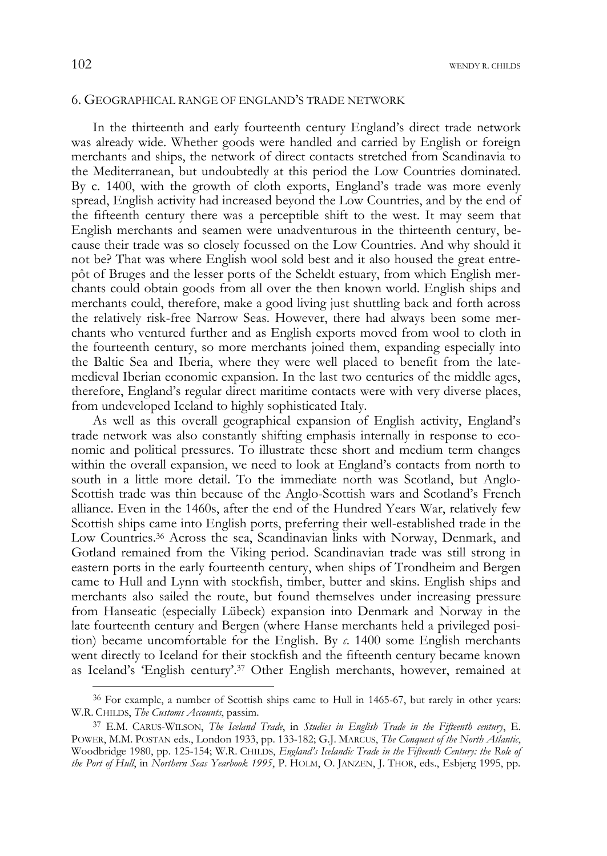### 6. GEOGRAPHICAL RANGE OF ENGLAND'S TRADE NETWORK

In the thirteenth and early fourteenth century England's direct trade network was already wide. Whether goods were handled and carried by English or foreign merchants and ships, the network of direct contacts stretched from Scandinavia to the Mediterranean, but undoubtedly at this period the Low Countries dominated. By c. 1400, with the growth of cloth exports, England's trade was more evenly spread, English activity had increased beyond the Low Countries, and by the end of the fifteenth century there was a perceptible shift to the west. It may seem that English merchants and seamen were unadventurous in the thirteenth century, because their trade was so closely focussed on the Low Countries. And why should it not be? That was where English wool sold best and it also housed the great entrepôt of Bruges and the lesser ports of the Scheldt estuary, from which English merchants could obtain goods from all over the then known world. English ships and merchants could, therefore, make a good living just shuttling back and forth across the relatively risk-free Narrow Seas. However, there had always been some merchants who ventured further and as English exports moved from wool to cloth in the fourteenth century, so more merchants joined them, expanding especially into the Baltic Sea and Iberia, where they were well placed to benefit from the latemedieval Iberian economic expansion. In the last two centuries of the middle ages, therefore, England's regular direct maritime contacts were with very diverse places, from undeveloped Iceland to highly sophisticated Italy.

As well as this overall geographical expansion of English activity, England's trade network was also constantly shifting emphasis internally in response to economic and political pressures. To illustrate these short and medium term changes within the overall expansion, we need to look at England's contacts from north to south in a little more detail. To the immediate north was Scotland, but Anglo-Scottish trade was thin because of the Anglo-Scottish wars and Scotland's French alliance. Even in the 1460s, after the end of the Hundred Years War, relatively few Scottish ships came into English ports, preferring their well-established trade in the Low Countries.<sup>36</sup> Across the sea, Scandinavian links with Norway, Denmark, and Gotland remained from the Viking period. Scandinavian trade was still strong in eastern ports in the early fourteenth century, when ships of Trondheim and Bergen came to Hull and Lynn with stockfish, timber, butter and skins. English ships and merchants also sailed the route, but found themselves under increasing pressure from Hanseatic (especially Lübeck) expansion into Denmark and Norway in the late fourteenth century and Bergen (where Hanse merchants held a privileged position) became uncomfortable for the English. By *c*. 1400 some English merchants went directly to Iceland for their stockfish and the fifteenth century became known as Iceland's 'English century'.37 Other English merchants, however, remained at

<sup>36</sup> For example, a number of Scottish ships came to Hull in 1465-67, but rarely in other years: W.R. CHILDS, *The Customs Accounts*, passim.

<sup>37</sup> E.M. CARUS-WILSON, *The Iceland Trade*, in *Studies in English Trade in the Fifteenth century*, E. POWER, M.M. POSTAN eds., London 1933, pp. 133-182; G.J. MARCUS, *The Conquest of the North Atlantic*, Woodbridge 1980, pp. 125-154; W.R. CHILDS, *England's Icelandic Trade in the Fifteenth Century: the Role of the Port of Hull*, in *Northern Seas Yearbook 1995*, P. HOLM, O. JANZEN, J. THOR, eds., Esbjerg 1995, pp.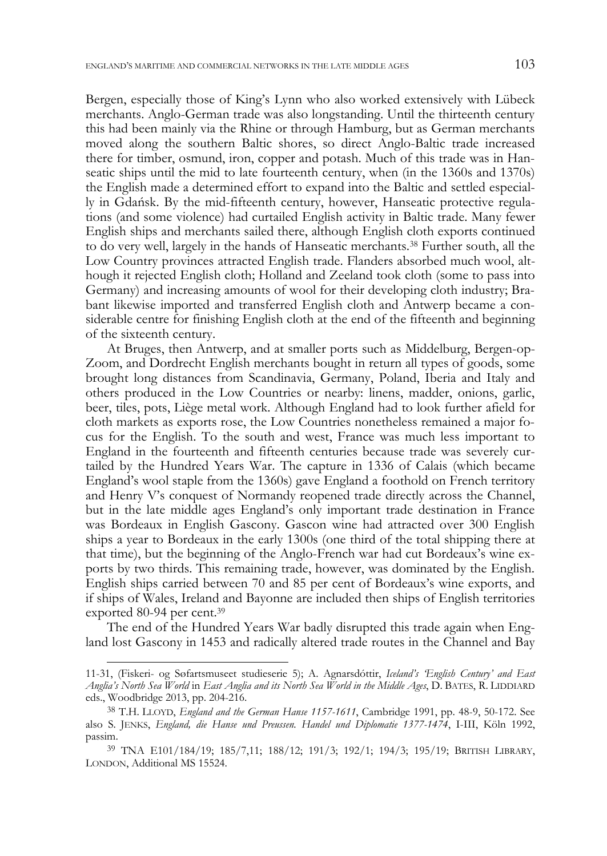Bergen, especially those of King's Lynn who also worked extensively with Lübeck merchants. Anglo-German trade was also longstanding. Until the thirteenth century this had been mainly via the Rhine or through Hamburg, but as German merchants moved along the southern Baltic shores, so direct Anglo-Baltic trade increased there for timber, osmund, iron, copper and potash. Much of this trade was in Hanseatic ships until the mid to late fourteenth century, when (in the 1360s and 1370s) the English made a determined effort to expand into the Baltic and settled especially in Gdańsk. By the mid-fifteenth century, however, Hanseatic protective regulations (and some violence) had curtailed English activity in Baltic trade. Many fewer English ships and merchants sailed there, although English cloth exports continued to do very well, largely in the hands of Hanseatic merchants.38 Further south, all the Low Country provinces attracted English trade. Flanders absorbed much wool, although it rejected English cloth; Holland and Zeeland took cloth (some to pass into Germany) and increasing amounts of wool for their developing cloth industry; Brabant likewise imported and transferred English cloth and Antwerp became a considerable centre for finishing English cloth at the end of the fifteenth and beginning of the sixteenth century.

At Bruges, then Antwerp, and at smaller ports such as Middelburg, Bergen-op-Zoom, and Dordrecht English merchants bought in return all types of goods, some brought long distances from Scandinavia, Germany, Poland, Iberia and Italy and others produced in the Low Countries or nearby: linens, madder, onions, garlic, beer, tiles, pots, Liège metal work. Although England had to look further afield for cloth markets as exports rose, the Low Countries nonetheless remained a major focus for the English. To the south and west, France was much less important to England in the fourteenth and fifteenth centuries because trade was severely curtailed by the Hundred Years War. The capture in 1336 of Calais (which became England's wool staple from the 1360s) gave England a foothold on French territory and Henry V's conquest of Normandy reopened trade directly across the Channel, but in the late middle ages England's only important trade destination in France was Bordeaux in English Gascony. Gascon wine had attracted over 300 English ships a year to Bordeaux in the early 1300s (one third of the total shipping there at that time), but the beginning of the Anglo-French war had cut Bordeaux's wine exports by two thirds. This remaining trade, however, was dominated by the English. English ships carried between 70 and 85 per cent of Bordeaux's wine exports, and if ships of Wales, Ireland and Bayonne are included then ships of English territories exported 80-94 per cent.39

The end of the Hundred Years War badly disrupted this trade again when England lost Gascony in 1453 and radically altered trade routes in the Channel and Bay

 <sup>11-31, (</sup>Fiskeri- og Søfartsmuseet studieserie 5); A. Agnarsdóttir, *Iceland's 'English Century' and East Anglia's North Sea World* in *East Anglia and its North Sea World in the Middle Ages*, D. BATES, R. LIDDIARD eds., Woodbridge 2013, pp. 204-216.

<sup>38</sup> T.H. LLOYD, *England and the German Hanse 1157-1611*, Cambridge 1991, pp. 48-9, 50-172. See also S. JENKS, *England, die Hanse und Preussen. Handel und Diplomatie 1377-1474*, I-III, Köln 1992, passim.

<sup>39</sup> TNA E101/184/19; 185/7,11; 188/12; 191/3; 192/1; 194/3; 195/19; BRITISH LIBRARY, LONDON, Additional MS 15524.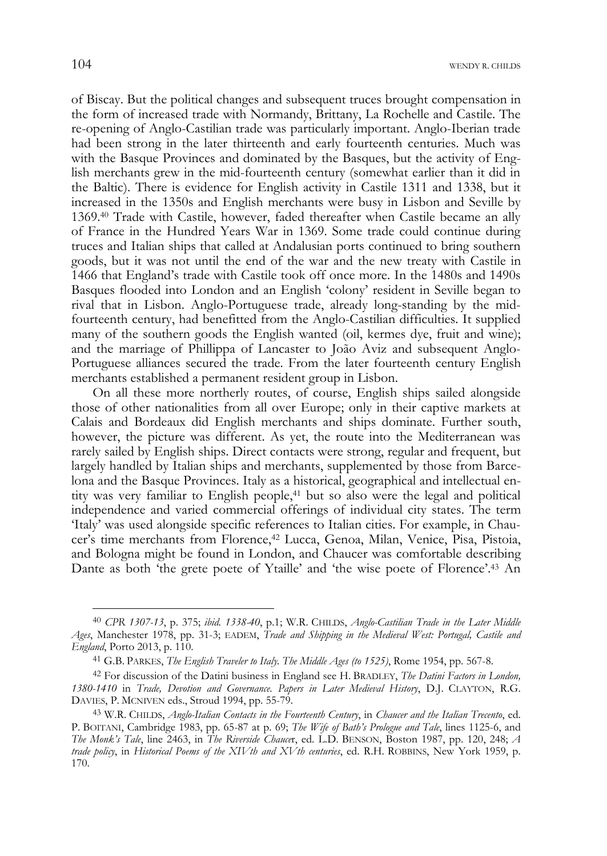of Biscay. But the political changes and subsequent truces brought compensation in the form of increased trade with Normandy, Brittany, La Rochelle and Castile. The re-opening of Anglo-Castilian trade was particularly important. Anglo-Iberian trade had been strong in the later thirteenth and early fourteenth centuries. Much was with the Basque Provinces and dominated by the Basques, but the activity of English merchants grew in the mid-fourteenth century (somewhat earlier than it did in the Baltic). There is evidence for English activity in Castile 1311 and 1338, but it increased in the 1350s and English merchants were busy in Lisbon and Seville by 1369.40 Trade with Castile, however, faded thereafter when Castile became an ally of France in the Hundred Years War in 1369. Some trade could continue during truces and Italian ships that called at Andalusian ports continued to bring southern goods, but it was not until the end of the war and the new treaty with Castile in 1466 that England's trade with Castile took off once more. In the 1480s and 1490s Basques flooded into London and an English 'colony' resident in Seville began to rival that in Lisbon. Anglo-Portuguese trade, already long-standing by the midfourteenth century, had benefitted from the Anglo-Castilian difficulties. It supplied many of the southern goods the English wanted (oil, kermes dye, fruit and wine); and the marriage of Phillippa of Lancaster to João Aviz and subsequent Anglo-Portuguese alliances secured the trade. From the later fourteenth century English merchants established a permanent resident group in Lisbon.

On all these more northerly routes, of course, English ships sailed alongside those of other nationalities from all over Europe; only in their captive markets at Calais and Bordeaux did English merchants and ships dominate. Further south, however, the picture was different. As yet, the route into the Mediterranean was rarely sailed by English ships. Direct contacts were strong, regular and frequent, but largely handled by Italian ships and merchants, supplemented by those from Barcelona and the Basque Provinces. Italy as a historical, geographical and intellectual entity was very familiar to English people,<sup>41</sup> but so also were the legal and political independence and varied commercial offerings of individual city states. The term 'Italy' was used alongside specific references to Italian cities. For example, in Chaucer's time merchants from Florence,42 Lucca, Genoa, Milan, Venice, Pisa, Pistoia, and Bologna might be found in London, and Chaucer was comfortable describing Dante as both 'the grete poete of Ytaille' and 'the wise poete of Florence'.43 An

<sup>40</sup> *CPR 1307-13*, p. 375; *ibid. 1338-40*, p.1; W.R. CHILDS, *Anglo-Castilian Trade in the Later Middle Ages*, Manchester 1978, pp. 31-3; EADEM, *Trade and Shipping in the Medieval West: Portugal, Castile and England*, Porto 2013, p. 110.

<sup>41</sup> G.B. PARKES, *The English Traveler to Italy*. *The Middle Ages (to 1525)*, Rome 1954, pp. 567-8.

<sup>42</sup> For discussion of the Datini business in England see H. BRADLEY, *The Datini Factors in London, 1380-1410* in *Trade, Devotion and Governance. Papers in Later Medieval History*, D.J. CLAYTON, R.G. DAVIES, P. MCNIVEN eds., Stroud 1994, pp. 55-79.

<sup>43</sup> W.R. CHILDS, *Anglo-Italian Contacts in the Fourteenth Century*, in *Chaucer and the Italian Trecento*, ed. P. BOITANI, Cambridge 1983, pp. 65-87 at p. 69; *The Wife of Bath's Prologue and Tale*, lines 1125-6, and *The Monk's Tale*, line 2463, in *The Riverside Chauce*r, ed. L.D. BENSON, Boston 1987, pp. 120, 248; *A trade policy*, in *Historical Poems of the XIVth and XVth centuries*, ed. R.H. ROBBINS, New York 1959, p. 170.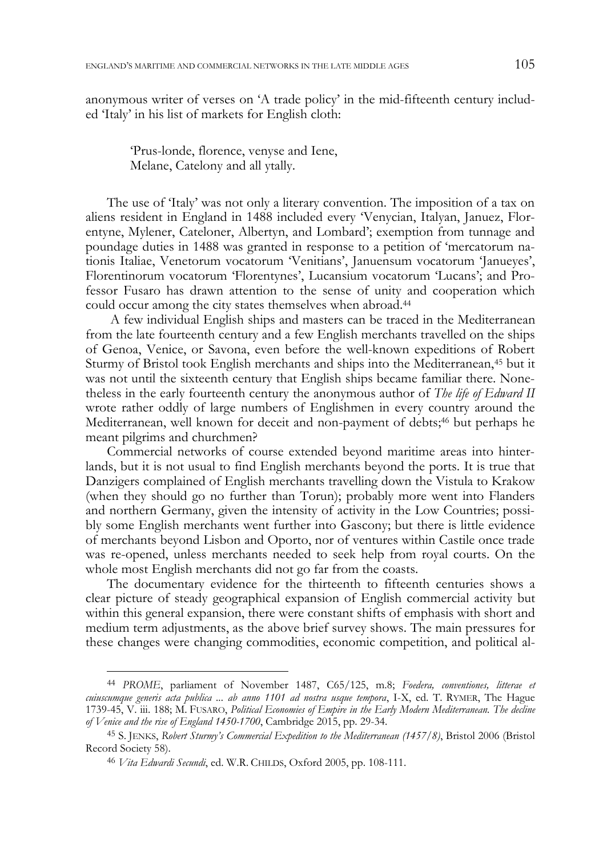anonymous writer of verses on 'A trade policy' in the mid-fifteenth century included 'Italy' in his list of markets for English cloth:

 'Prus-londe, florence, venyse and Iene, Melane, Catelony and all ytally.

The use of 'Italy' was not only a literary convention. The imposition of a tax on aliens resident in England in 1488 included every 'Venycian, Italyan, Januez, Florentyne, Mylener, Cateloner, Albertyn, and Lombard'; exemption from tunnage and poundage duties in 1488 was granted in response to a petition of 'mercatorum nationis Italiae, Venetorum vocatorum 'Venitians', Januensum vocatorum 'Janueyes', Florentinorum vocatorum 'Florentynes', Lucansium vocatorum 'Lucans'; and Professor Fusaro has drawn attention to the sense of unity and cooperation which could occur among the city states themselves when abroad.44

 A few individual English ships and masters can be traced in the Mediterranean from the late fourteenth century and a few English merchants travelled on the ships of Genoa, Venice, or Savona, even before the well-known expeditions of Robert Sturmy of Bristol took English merchants and ships into the Mediterranean,45 but it was not until the sixteenth century that English ships became familiar there. Nonetheless in the early fourteenth century the anonymous author of *The life of Edward II*  wrote rather oddly of large numbers of Englishmen in every country around the Mediterranean, well known for deceit and non-payment of debts;<sup>46</sup> but perhaps he meant pilgrims and churchmen?

Commercial networks of course extended beyond maritime areas into hinterlands, but it is not usual to find English merchants beyond the ports. It is true that Danzigers complained of English merchants travelling down the Vistula to Krakow (when they should go no further than Torun); probably more went into Flanders and northern Germany, given the intensity of activity in the Low Countries; possibly some English merchants went further into Gascony; but there is little evidence of merchants beyond Lisbon and Oporto, nor of ventures within Castile once trade was re-opened, unless merchants needed to seek help from royal courts. On the whole most English merchants did not go far from the coasts.

The documentary evidence for the thirteenth to fifteenth centuries shows a clear picture of steady geographical expansion of English commercial activity but within this general expansion, there were constant shifts of emphasis with short and medium term adjustments, as the above brief survey shows. The main pressures for these changes were changing commodities, economic competition, and political al-

<sup>44</sup> *PROME*, parliament of November 1487, C65/125, m.8; *Foedera, conventiones, litterae et cuiuscumque generis acta publica ... ab anno 1101 ad nostra usque tempora*, I-X, ed. T. RYMER, The Hague 1739-45, V. iii. 188; M. FUSARO, *Political Economies of Empire in the Early Modern Mediterranean. The decline of Venice and the rise of England 1450-1700*, Cambridge 2015, pp. 29-34.

<sup>45</sup> S. JENKS, *Robert Sturmy's Commercial Expedition to the Mediterranean (1457/8)*, Bristol 2006 (Bristol Record Society 58).

<sup>46</sup> *Vita Edwardi Secundi*, ed. W.R. CHILDS, Oxford 2005, pp. 108-111.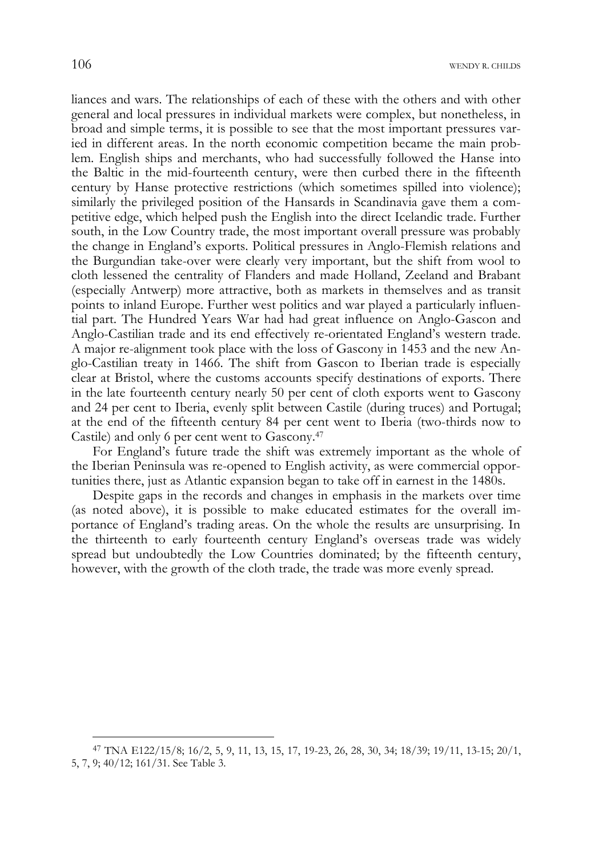liances and wars. The relationships of each of these with the others and with other general and local pressures in individual markets were complex, but nonetheless, in broad and simple terms, it is possible to see that the most important pressures varied in different areas. In the north economic competition became the main problem. English ships and merchants, who had successfully followed the Hanse into the Baltic in the mid-fourteenth century, were then curbed there in the fifteenth century by Hanse protective restrictions (which sometimes spilled into violence); similarly the privileged position of the Hansards in Scandinavia gave them a competitive edge, which helped push the English into the direct Icelandic trade. Further south, in the Low Country trade, the most important overall pressure was probably the change in England's exports. Political pressures in Anglo-Flemish relations and the Burgundian take-over were clearly very important, but the shift from wool to cloth lessened the centrality of Flanders and made Holland, Zeeland and Brabant (especially Antwerp) more attractive, both as markets in themselves and as transit points to inland Europe. Further west politics and war played a particularly influential part. The Hundred Years War had had great influence on Anglo-Gascon and Anglo-Castilian trade and its end effectively re-orientated England's western trade. A major re-alignment took place with the loss of Gascony in 1453 and the new Anglo-Castilian treaty in 1466. The shift from Gascon to Iberian trade is especially clear at Bristol, where the customs accounts specify destinations of exports. There in the late fourteenth century nearly 50 per cent of cloth exports went to Gascony and 24 per cent to Iberia, evenly split between Castile (during truces) and Portugal; at the end of the fifteenth century 84 per cent went to Iberia (two-thirds now to Castile) and only 6 per cent went to Gascony.47

For England's future trade the shift was extremely important as the whole of the Iberian Peninsula was re-opened to English activity, as were commercial opportunities there, just as Atlantic expansion began to take off in earnest in the 1480s.

Despite gaps in the records and changes in emphasis in the markets over time (as noted above), it is possible to make educated estimates for the overall importance of England's trading areas. On the whole the results are unsurprising. In the thirteenth to early fourteenth century England's overseas trade was widely spread but undoubtedly the Low Countries dominated; by the fifteenth century, however, with the growth of the cloth trade, the trade was more evenly spread.

<sup>47</sup> TNA E122/15/8; 16/2, 5, 9, 11, 13, 15, 17, 19-23, 26, 28, 30, 34; 18/39; 19/11, 13-15; 20/1, 5, 7, 9; 40/12; 161/31. See Table 3.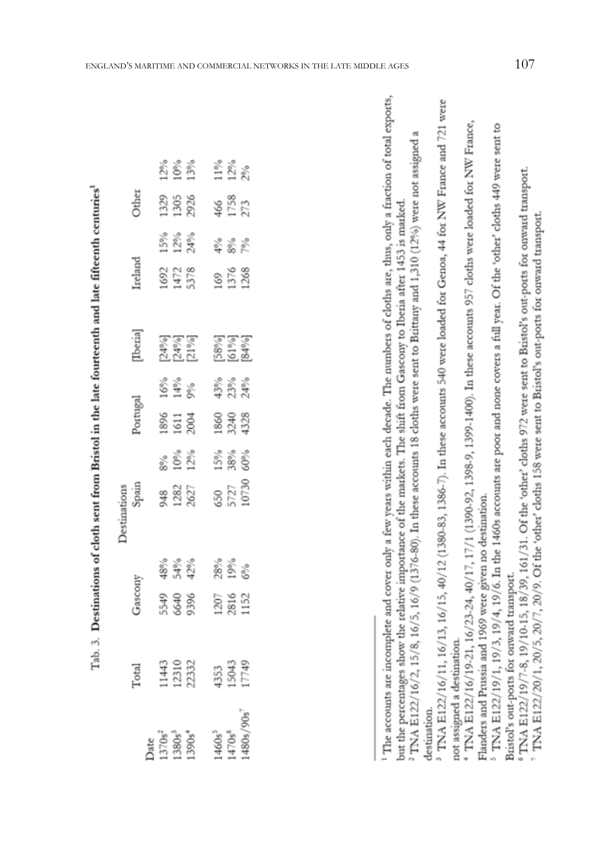| aamth                |
|----------------------|
|                      |
| $\ddot{\phantom{a}}$ |
| I                    |
|                      |
|                      |
|                      |
|                      |
| $\frac{1}{2}$        |
|                      |
|                      |
|                      |
|                      |
|                      |
|                      |
|                      |
| $\vdots$             |
|                      |
| š                    |
| Reict                |
|                      |
| j<br>i               |
|                      |
|                      |
| ó                    |
|                      |
|                      |
|                      |
|                      |
|                      |
| j                    |
|                      |
|                      |
|                      |
|                      |
|                      |
|                      |
|                      |
| ŀ<br>ı               |

్టే

|                       |  |                      | $12\%$<br>$13\%$                |                                                                                                                    | 12%<br>12%              |                   |
|-----------------------|--|----------------------|---------------------------------|--------------------------------------------------------------------------------------------------------------------|-------------------------|-------------------|
|                       |  |                      |                                 |                                                                                                                    |                         |                   |
|                       |  |                      | b<br>1325<br>1305<br>2926       |                                                                                                                    | 466<br>1758<br>273      |                   |
|                       |  | 5%<br>12%            |                                 |                                                                                                                    | 2<br>8 8 8<br>7         |                   |
| Ireland               |  | 1692<br>1472<br>5378 |                                 |                                                                                                                    | 169<br>1376<br>1268     |                   |
| [Iberia]              |  |                      | 74%)<br>74%)<br>71%)            |                                                                                                                    |                         | 58%<br>61%<br>84% |
|                       |  |                      | $\frac{88}{9}$<br>$\frac{8}{9}$ |                                                                                                                    | 43%<br>23%<br>24%       |                   |
| legutoc               |  |                      | 1896<br>1611<br>2004            |                                                                                                                    | 1860<br>3243<br>4328    |                   |
|                       |  |                      | 8%<br>10%<br>12%                |                                                                                                                    | $15%$<br>$38%$<br>$50%$ |                   |
| Destinations<br>Spain |  | 948<br>1282<br>2627  |                                 |                                                                                                                    | 650<br>5727<br>10730    |                   |
|                       |  |                      | $48%$<br>54%<br>42%             |                                                                                                                    | 28%<br>19%<br>6%        |                   |
| yascony               |  |                      | 5549<br>6640<br>9396            |                                                                                                                    | 1207<br>2816<br>1152    |                   |
|                       |  |                      |                                 | Total<br>11443<br>12332<br>13043<br>15043                                                                          |                         |                   |
|                       |  |                      |                                 | Date<br>1370s <sup>2</sup><br>1380s <sup>3</sup><br>1390s <sup>4</sup><br>1470s <sup>6</sup><br>1470s <sup>6</sup> |                         |                   |

The accounts are incomplete and cover only a few years within each decade. The numbers of cloths are, thus, only a fraction of total exports, <sup>2</sup> TNA E122/16/2, 15/8, 16/5, 16/9 (1376-80). In these accounts 18 cloths were sent to Brittany and 1,310 (12%) were not assigned a but the percentages show the relative importance of the markets. The shift from Gascony to Iberia after 1453 is marked. destination.

<sup>&</sup>lt;sup>3</sup> TNA E122/16/11, 16/13, 16/15, 40/12 (1380-83, 1386-7). In these accounts 540 were loaded for Genoa, 44 for NW France and 721 were not assigned a destination.

 $*$  TNA E122/16/19-21, 16/23-24, 40/17, 17/1 (1390-92, 1398-9, 1399-1400). In these accounts 957 cloths were loaded for NW France. Flanders and Prussia and 1969 were given no destination.

<sup>&</sup>lt;sup>5</sup> TNA E122/19/1, 19/3, 19/4, 19/6. In the 1460s accounts are poor and none covers a full year. Of the 'other' cloths 449 were sent to Bristol's out-ports for onward transport.

 $\frac{1714.5122/19}{716.18,19/10.15,18/39,161/31}$ . Of the 'other' cloths 972 were sent to Bristol's out-ports for onward transport.

TNA E122/20/1, 20/5, 20/7, 20/9. Of the 'other' cloths 158 were sent to Bristol's out-ports for onward transport.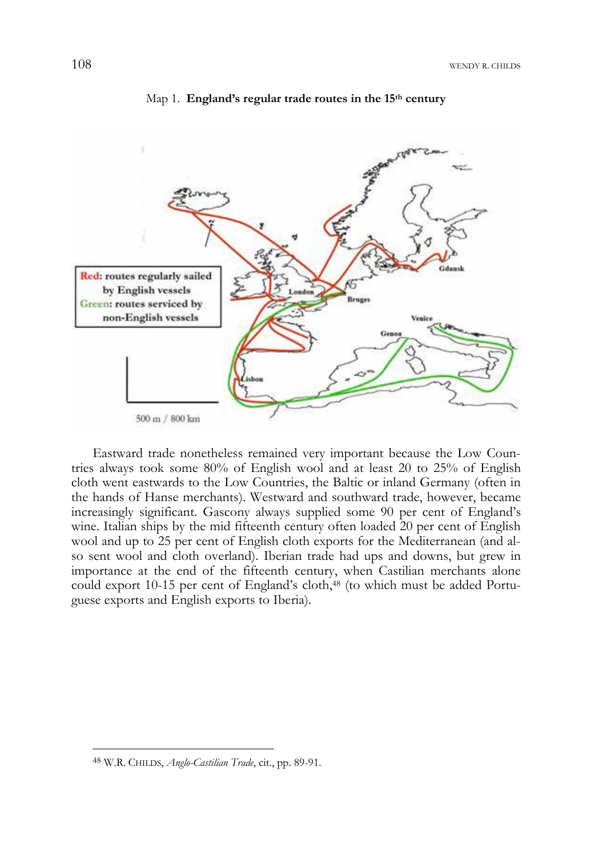

Map 1. **England's regular trade routes in the 15th century** 

Eastward trade nonetheless remained very important because the Low Countries always took some 80% of English wool and at least 20 to 25% of English cloth went eastwards to the Low Countries, the Baltic or inland Germany (often in the hands of Hanse merchants). Westward and southward trade, however, became increasingly significant. Gascony always supplied some 90 per cent of England's wine. Italian ships by the mid fifteenth century often loaded 20 per cent of English wool and up to 25 per cent of English cloth exports for the Mediterranean (and also sent wool and cloth overland). Iberian trade had ups and downs, but grew in importance at the end of the fifteenth century, when Castilian merchants alone could export 10-15 per cent of England's cloth,<sup>48</sup> (to which must be added Portuguese exports and English exports to Iberia).

<sup>48</sup> W.R. CHILDS, *Anglo-Castilian Trade*, cit., pp. 89-91.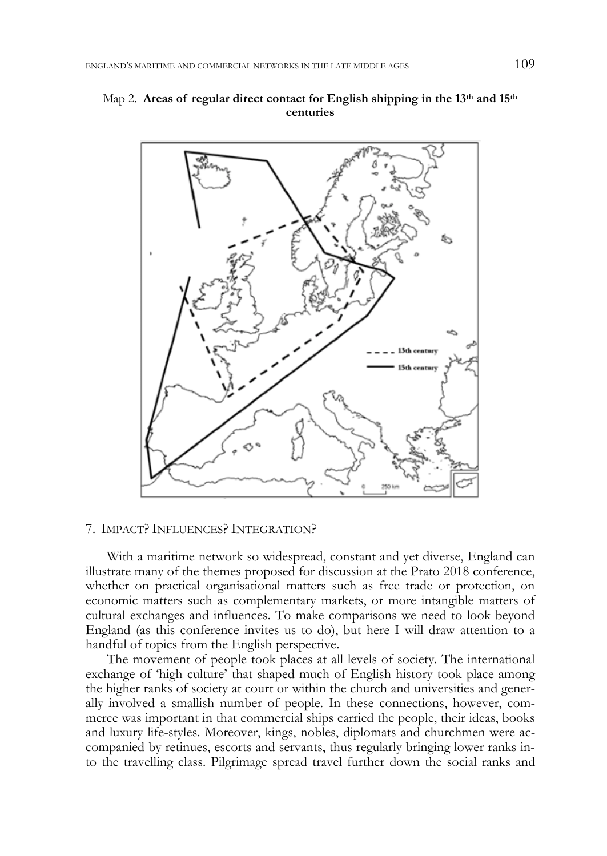# Map 2. **Areas of regular direct contact for English shipping in the 13th and 15th centuries**



# 7. IMPACT? INFLUENCES? INTEGRATION?

With a maritime network so widespread, constant and yet diverse, England can illustrate many of the themes proposed for discussion at the Prato 2018 conference, whether on practical organisational matters such as free trade or protection, on economic matters such as complementary markets, or more intangible matters of cultural exchanges and influences. To make comparisons we need to look beyond England (as this conference invites us to do), but here I will draw attention to a handful of topics from the English perspective.

The movement of people took places at all levels of society. The international exchange of 'high culture' that shaped much of English history took place among the higher ranks of society at court or within the church and universities and generally involved a smallish number of people. In these connections, however, commerce was important in that commercial ships carried the people, their ideas, books and luxury life-styles. Moreover, kings, nobles, diplomats and churchmen were accompanied by retinues, escorts and servants, thus regularly bringing lower ranks into the travelling class. Pilgrimage spread travel further down the social ranks and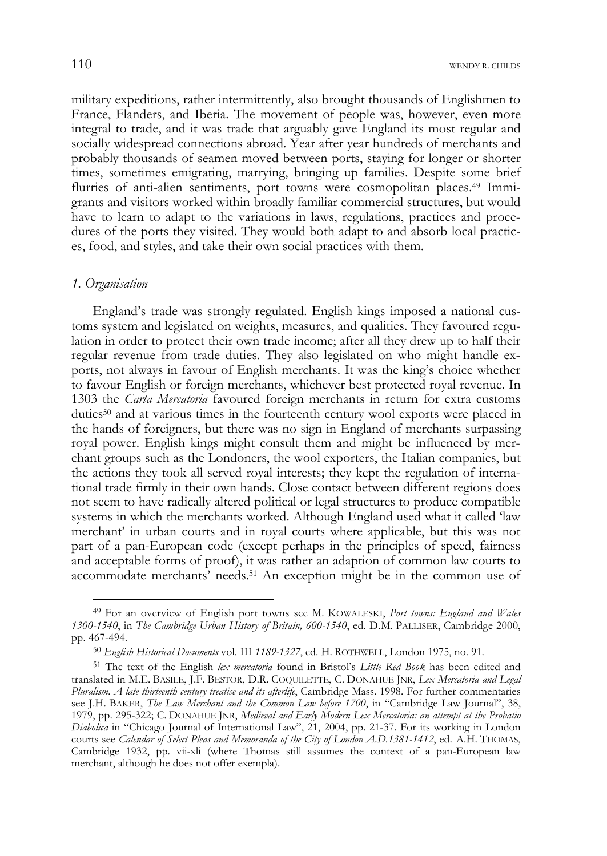military expeditions, rather intermittently, also brought thousands of Englishmen to France, Flanders, and Iberia. The movement of people was, however, even more integral to trade, and it was trade that arguably gave England its most regular and socially widespread connections abroad. Year after year hundreds of merchants and probably thousands of seamen moved between ports, staying for longer or shorter times, sometimes emigrating, marrying, bringing up families. Despite some brief flurries of anti-alien sentiments, port towns were cosmopolitan places.<sup>49</sup> Immigrants and visitors worked within broadly familiar commercial structures, but would have to learn to adapt to the variations in laws, regulations, practices and procedures of the ports they visited. They would both adapt to and absorb local practices, food, and styles, and take their own social practices with them.

### *1. Organisation*

j

England's trade was strongly regulated. English kings imposed a national customs system and legislated on weights, measures, and qualities. They favoured regulation in order to protect their own trade income; after all they drew up to half their regular revenue from trade duties. They also legislated on who might handle exports, not always in favour of English merchants. It was the king's choice whether to favour English or foreign merchants, whichever best protected royal revenue. In 1303 the *Carta Mercatoria* favoured foreign merchants in return for extra customs duties50 and at various times in the fourteenth century wool exports were placed in the hands of foreigners, but there was no sign in England of merchants surpassing royal power. English kings might consult them and might be influenced by merchant groups such as the Londoners, the wool exporters, the Italian companies, but the actions they took all served royal interests; they kept the regulation of international trade firmly in their own hands. Close contact between different regions does not seem to have radically altered political or legal structures to produce compatible systems in which the merchants worked. Although England used what it called 'law merchant' in urban courts and in royal courts where applicable, but this was not part of a pan-European code (except perhaps in the principles of speed, fairness and acceptable forms of proof), it was rather an adaption of common law courts to accommodate merchants' needs.51 An exception might be in the common use of

<sup>49</sup> For an overview of English port towns see M. KOWALESKI, *Port towns: England and Wales 1300-1540*, in *The Cambridge Urban History of Britain, 600-1540*, ed. D.M. PALLISER, Cambridge 2000, pp. 467-494.

<sup>50</sup> *English Historical Documents* vol. III *1189-1327*, ed. H. ROTHWELL, London 1975, no. 91.

<sup>51</sup> The text of the English *lex mercatoria* found in Bristol's *Little Red Book* has been edited and translated in M.E. BASILE, J.F. BESTOR, D.R. COQUILETTE, C. DONAHUE JNR, *Lex Mercatoria and Legal Pluralism. A late thirteenth century treatise and its afterlife*, Cambridge Mass. 1998. For further commentaries see J.H. BAKER, *The Law Merchant and the Common Law before 1700*, in "Cambridge Law Journal", 38, 1979, pp. 295-322; C. DONAHUE JNR, *Medieval and Early Modern Lex Mercatoria: an attempt at the Probatio Diabolica* in "Chicago Journal of International Law", 21, 2004, pp. 21-37. For its working in London courts see *Calendar of Select Pleas and Memoranda of the City of London A.D.1381-1412*, ed. A.H. THOMAS, Cambridge 1932, pp. vii-xli (where Thomas still assumes the context of a pan-European law merchant, although he does not offer exempla).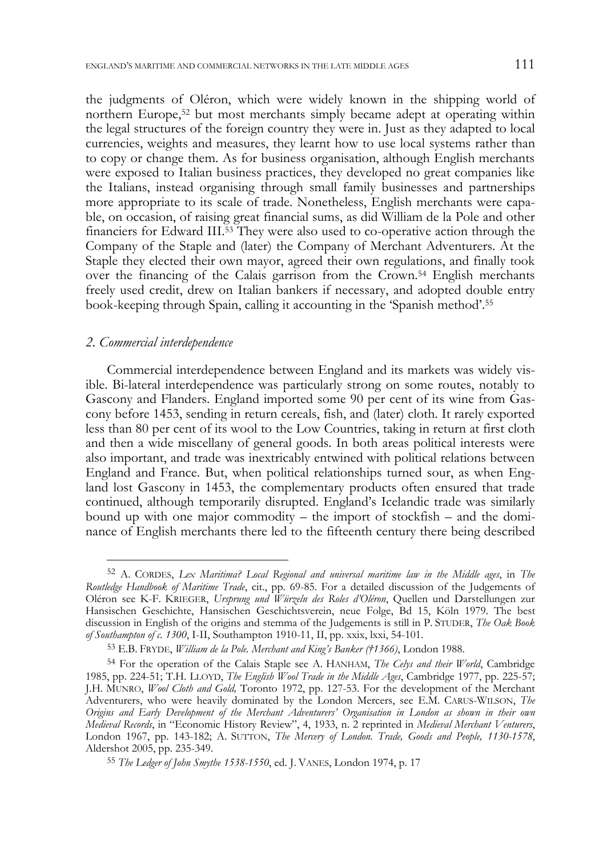the judgments of Oléron, which were widely known in the shipping world of northern Europe,52 but most merchants simply became adept at operating within the legal structures of the foreign country they were in. Just as they adapted to local currencies, weights and measures, they learnt how to use local systems rather than to copy or change them. As for business organisation, although English merchants were exposed to Italian business practices, they developed no great companies like the Italians, instead organising through small family businesses and partnerships more appropriate to its scale of trade. Nonetheless, English merchants were capable, on occasion, of raising great financial sums, as did William de la Pole and other financiers for Edward III.53 They were also used to co-operative action through the Company of the Staple and (later) the Company of Merchant Adventurers. At the Staple they elected their own mayor, agreed their own regulations, and finally took over the financing of the Calais garrison from the Crown.54 English merchants freely used credit, drew on Italian bankers if necessary, and adopted double entry book-keeping through Spain, calling it accounting in the 'Spanish method'.55

### *2. Commercial interdependence*

-

Commercial interdependence between England and its markets was widely visible. Bi-lateral interdependence was particularly strong on some routes, notably to Gascony and Flanders. England imported some 90 per cent of its wine from Gascony before 1453, sending in return cereals, fish, and (later) cloth. It rarely exported less than 80 per cent of its wool to the Low Countries, taking in return at first cloth and then a wide miscellany of general goods. In both areas political interests were also important, and trade was inextricably entwined with political relations between England and France. But, when political relationships turned sour, as when England lost Gascony in 1453, the complementary products often ensured that trade continued, although temporarily disrupted. England's Icelandic trade was similarly bound up with one major commodity – the import of stockfish – and the dominance of English merchants there led to the fifteenth century there being described

<sup>52</sup> A. CORDES, *Lex Maritima? Local Regional and universal maritime law in the Middle ages*, in *The Routledge Handbook of Maritime Trade*, cit., pp. 69-85. For a detailed discussion of the Judgements of Oléron see K-F. KRIEGER, *Ursprung und Würzeln des Roles d'Oléron*, Quellen und Darstellungen zur Hansischen Geschichte, Hansischen Geschichtsverein, neue Folge, Bd 15, Köln 1979. The best discussion in English of the origins and stemma of the Judgements is still in P. STUDER, *The Oak Book of Southampton of c. 1300*, I-II, Southampton 1910-11, II, pp. xxix, lxxi, 54-101.

<sup>53</sup> E.B. FRYDE, *William de la Pole. Merchant and King's Banker (†1366)*, London 1988.

<sup>54</sup> For the operation of the Calais Staple see A. HANHAM, *The Celys and their World*, Cambridge 1985, pp. 224-51; T.H. LLOYD, *The English Wool Trade in the Middle Ages*, Cambridge 1977, pp. 225-57; J.H. MUNRO, *Wool Cloth and Gold,* Toronto 1972, pp. 127-53. For the development of the Merchant Adventurers, who were heavily dominated by the London Mercers, see E.M. CARUS-WILSON, *The Origins and Early Development of the Merchant Adventurers' Organisation in London as shown in their own Medieval Records*, in "Economic History Review", 4, 1933, n. 2 reprinted in *Medieval Merchant Venturers*, London 1967, pp. 143-182; A. SUTTON, *The Mercery of London. Trade, Goods and People, 1130-1578*, Aldershot 2005, pp. 235-349.

<sup>55</sup> *The Ledger of John Smythe 1538-1550*, ed. J. VANES, London 1974, p. 17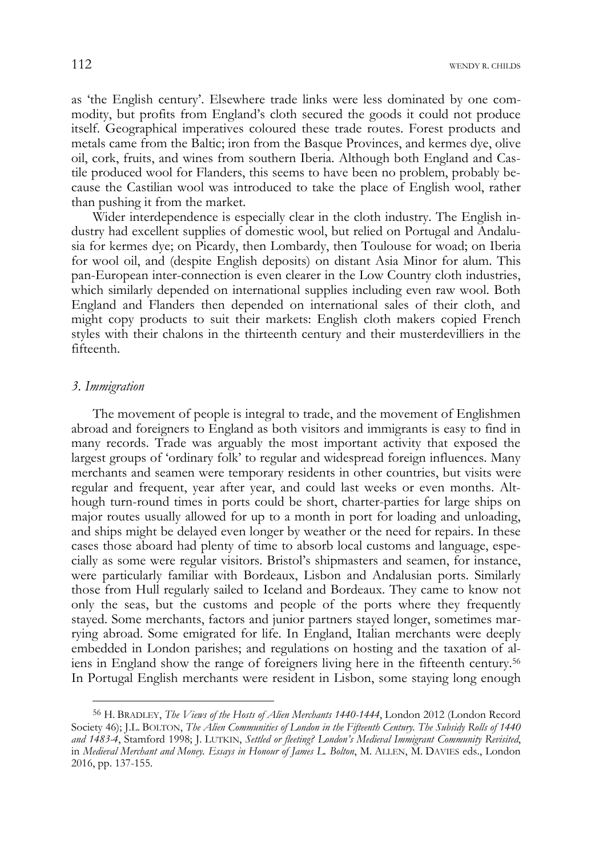112 WENDY R. CHILDS

as 'the English century'. Elsewhere trade links were less dominated by one commodity, but profits from England's cloth secured the goods it could not produce itself. Geographical imperatives coloured these trade routes. Forest products and metals came from the Baltic; iron from the Basque Provinces, and kermes dye, olive oil, cork, fruits, and wines from southern Iberia. Although both England and Castile produced wool for Flanders, this seems to have been no problem, probably because the Castilian wool was introduced to take the place of English wool, rather than pushing it from the market.

Wider interdependence is especially clear in the cloth industry. The English industry had excellent supplies of domestic wool, but relied on Portugal and Andalusia for kermes dye; on Picardy, then Lombardy, then Toulouse for woad; on Iberia for wool oil, and (despite English deposits) on distant Asia Minor for alum. This pan-European inter-connection is even clearer in the Low Country cloth industries, which similarly depended on international supplies including even raw wool. Both England and Flanders then depended on international sales of their cloth, and might copy products to suit their markets: English cloth makers copied French styles with their chalons in the thirteenth century and their musterdevilliers in the fifteenth.

### *3. Immigration*

j

The movement of people is integral to trade, and the movement of Englishmen abroad and foreigners to England as both visitors and immigrants is easy to find in many records. Trade was arguably the most important activity that exposed the largest groups of 'ordinary folk' to regular and widespread foreign influences. Many merchants and seamen were temporary residents in other countries, but visits were regular and frequent, year after year, and could last weeks or even months. Although turn-round times in ports could be short, charter-parties for large ships on major routes usually allowed for up to a month in port for loading and unloading, and ships might be delayed even longer by weather or the need for repairs. In these cases those aboard had plenty of time to absorb local customs and language, especially as some were regular visitors. Bristol's shipmasters and seamen, for instance, were particularly familiar with Bordeaux, Lisbon and Andalusian ports. Similarly those from Hull regularly sailed to Iceland and Bordeaux. They came to know not only the seas, but the customs and people of the ports where they frequently stayed. Some merchants, factors and junior partners stayed longer, sometimes marrying abroad. Some emigrated for life. In England, Italian merchants were deeply embedded in London parishes; and regulations on hosting and the taxation of aliens in England show the range of foreigners living here in the fifteenth century.56 In Portugal English merchants were resident in Lisbon, some staying long enough

<sup>56</sup> H. BRADLEY, *The Views of the Hosts of Alien Merchants 1440-1444*, London 2012 (London Record Society 46); J.L. BOLTON, *The Alien Communities of London in the Fifteenth Century. The Subsidy Rolls of 1440 and 1483-4*, Stamford 1998; J. LUTKIN, *Settled or fleeting? London's Medieval Immigrant Community Revisited*, in *Medieval Merchant and Money. Essays in Honour of James L. Bolton*, M. ALLEN, M. DAVIES eds., London 2016, pp. 137-155.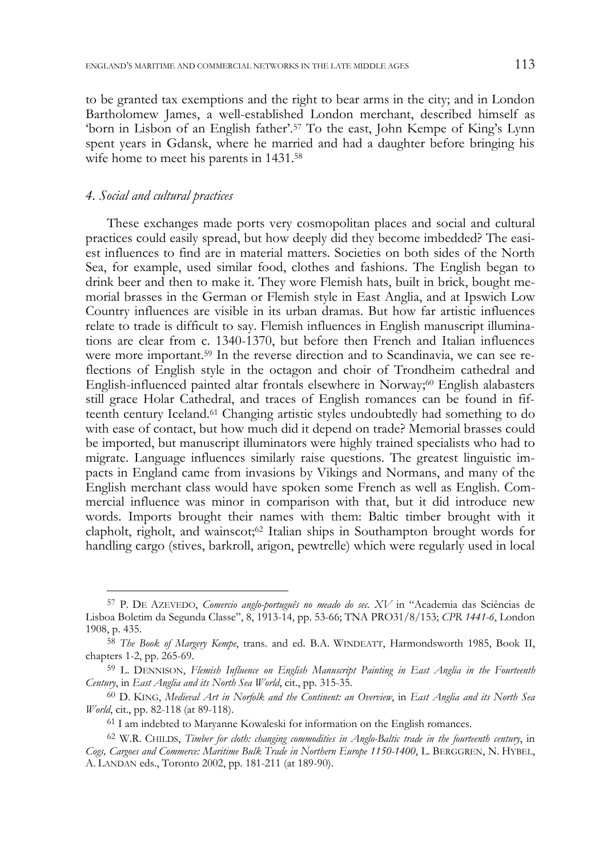to be granted tax exemptions and the right to bear arms in the city; and in London Bartholomew James, a well-established London merchant, described himself as 'born in Lisbon of an English father'.57 To the east, John Kempe of King's Lynn spent years in Gdansk, where he married and had a daughter before bringing his wife home to meet his parents in 1431.<sup>58</sup>

# *4. Social and cultural practices*

-

These exchanges made ports very cosmopolitan places and social and cultural practices could easily spread, but how deeply did they become imbedded? The easiest influences to find are in material matters. Societies on both sides of the North Sea, for example, used similar food, clothes and fashions. The English began to drink beer and then to make it. They wore Flemish hats, built in brick, bought memorial brasses in the German or Flemish style in East Anglia, and at Ipswich Low Country influences are visible in its urban dramas. But how far artistic influences relate to trade is difficult to say. Flemish influences in English manuscript illuminations are clear from c. 1340-1370, but before then French and Italian influences were more important.<sup>59</sup> In the reverse direction and to Scandinavia, we can see reflections of English style in the octagon and choir of Trondheim cathedral and English-influenced painted altar frontals elsewhere in Norway;<sup>60</sup> English alabasters still grace Holar Cathedral, and traces of English romances can be found in fifteenth century Iceland.61 Changing artistic styles undoubtedly had something to do with ease of contact, but how much did it depend on trade? Memorial brasses could be imported, but manuscript illuminators were highly trained specialists who had to migrate. Language influences similarly raise questions. The greatest linguistic impacts in England came from invasions by Vikings and Normans, and many of the English merchant class would have spoken some French as well as English. Commercial influence was minor in comparison with that, but it did introduce new words. Imports brought their names with them: Baltic timber brought with it clapholt, righolt, and wainscot;<sup>62</sup> Italian ships in Southampton brought words for handling cargo (stives, barkroll, arigon, pewtrelle) which were regularly used in local

<sup>57</sup> P. DE AZEVEDO, *Comercio anglo-português no meado do sec. XV* in "Academia das Sciências de Lisboa Boletim da Segunda Classe", 8, 1913-14, pp. 53-66; TNA PRO31/8/153; *CPR 1441-6*, London 1908, p. 435.

<sup>58</sup> *The Book of Margery Kempe*, trans. and ed. B.A. WINDEATT, Harmondsworth 1985, Book II, chapters 1-2, pp. 265-69.

<sup>59</sup> L. DENNISON, *Flemish Influence on English Manuscript Painting in East Anglia in the Fourteenth Century*, in *East Anglia and its North Sea World*, cit., pp. 315-35.

<sup>60</sup> D. KING, *Medieval Art in Norfolk and the Continent: an Overview*, in *East Anglia and its North Sea World*, cit., pp. 82-118 (at 89-118).

<sup>61</sup> I am indebted to Maryanne Kowaleski for information on the English romances.

<sup>62</sup> W.R. CHILDS, *Timber for cloth: changing commodities in Anglo-Baltic trade in the fourteenth century*, in *Cogs, Cargoes and Commerce: Maritime Bulk Trade in Northern Europe 1150-1400*, L. BERGGREN, N. HYBEL, A. LANDAN eds., Toronto 2002, pp. 181-211 (at 189-90).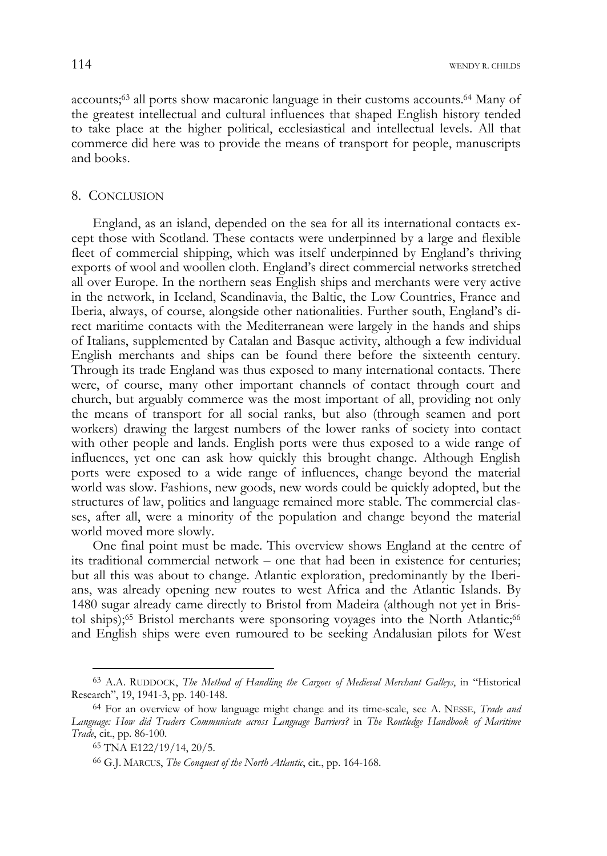accounts;63 all ports show macaronic language in their customs accounts.64 Many of the greatest intellectual and cultural influences that shaped English history tended to take place at the higher political, ecclesiastical and intellectual levels. All that commerce did here was to provide the means of transport for people, manuscripts and books.

### 8. CONCLUSION

England, as an island, depended on the sea for all its international contacts except those with Scotland. These contacts were underpinned by a large and flexible fleet of commercial shipping, which was itself underpinned by England's thriving exports of wool and woollen cloth. England's direct commercial networks stretched all over Europe. In the northern seas English ships and merchants were very active in the network, in Iceland, Scandinavia, the Baltic, the Low Countries, France and Iberia, always, of course, alongside other nationalities. Further south, England's direct maritime contacts with the Mediterranean were largely in the hands and ships of Italians, supplemented by Catalan and Basque activity, although a few individual English merchants and ships can be found there before the sixteenth century. Through its trade England was thus exposed to many international contacts. There were, of course, many other important channels of contact through court and church, but arguably commerce was the most important of all, providing not only the means of transport for all social ranks, but also (through seamen and port workers) drawing the largest numbers of the lower ranks of society into contact with other people and lands. English ports were thus exposed to a wide range of influences, yet one can ask how quickly this brought change. Although English ports were exposed to a wide range of influences, change beyond the material world was slow. Fashions, new goods, new words could be quickly adopted, but the structures of law, politics and language remained more stable. The commercial classes, after all, were a minority of the population and change beyond the material world moved more slowly.

One final point must be made. This overview shows England at the centre of its traditional commercial network – one that had been in existence for centuries; but all this was about to change. Atlantic exploration, predominantly by the Iberians, was already opening new routes to west Africa and the Atlantic Islands. By 1480 sugar already came directly to Bristol from Madeira (although not yet in Bristol ships);<sup>65</sup> Bristol merchants were sponsoring voyages into the North Atlantic;<sup>66</sup> and English ships were even rumoured to be seeking Andalusian pilots for West

<sup>63</sup> A.A. RUDDOCK, *The Method of Handling the Cargoes of Medieval Merchant Galleys*, in "Historical Research", 19, 1941-3, pp. 140-148.

<sup>64</sup> For an overview of how language might change and its time-scale, see A. NESSE, *Trade and Language: How did Traders Communicate across Language Barriers?* in *The Routledge Handbook of Maritime Trade*, cit., pp. 86-100.

<sup>65</sup> TNA E122/19/14, 20/5.

<sup>66</sup> G.J. MARCUS, *The Conquest of the North Atlantic*, cit., pp. 164-168.